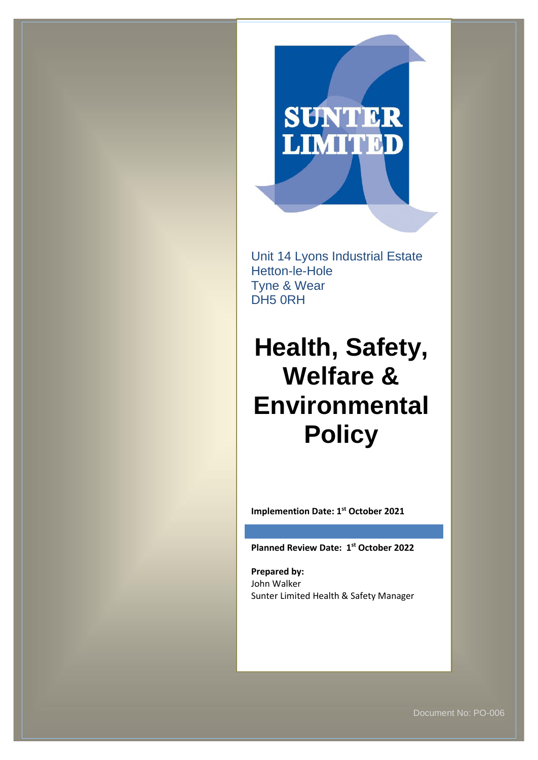# **SUNTER**<br>LIMITED

Unit 14 Lyons Industrial Estate Hetton-le-Hole Tyne & Wear DH5 0RH

# **Health, Safety, Welfare & Environmental Policy**

**Implemention Date: 1st October 2021**

**Planned Review Date: 1 st October 2022**

**Prepared by:** John Walker Sunter Limited Health & Safety Manager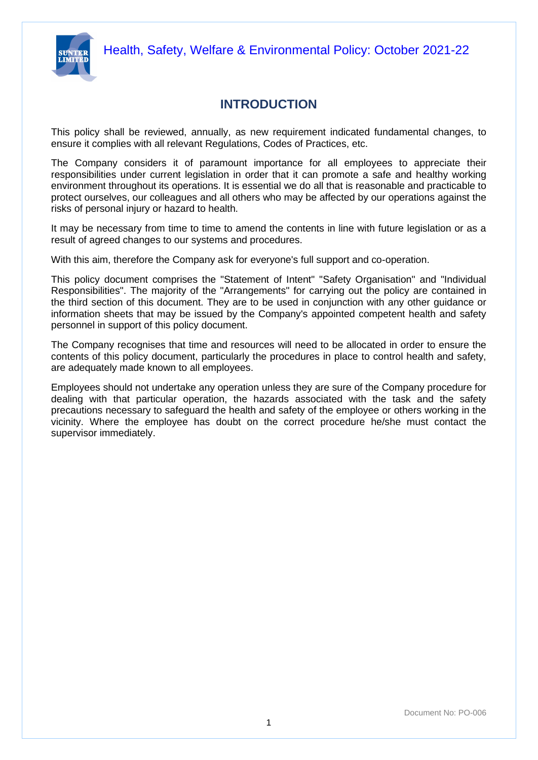



# **INTRODUCTION**

This policy shall be reviewed, annually, as new requirement indicated fundamental changes, to ensure it complies with all relevant Regulations, Codes of Practices, etc.

The Company considers it of paramount importance for all employees to appreciate their responsibilities under current legislation in order that it can promote a safe and healthy working environment throughout its operations. It is essential we do all that is reasonable and practicable to protect ourselves, our colleagues and all others who may be affected by our operations against the risks of personal injury or hazard to health.

It may be necessary from time to time to amend the contents in line with future legislation or as a result of agreed changes to our systems and procedures.

With this aim, therefore the Company ask for everyone's full support and co-operation.

This policy document comprises the "Statement of Intent" "Safety Organisation" and "Individual Responsibilities". The majority of the "Arrangements" for carrying out the policy are contained in the third section of this document. They are to be used in conjunction with any other guidance or information sheets that may be issued by the Company's appointed competent health and safety personnel in support of this policy document.

The Company recognises that time and resources will need to be allocated in order to ensure the contents of this policy document, particularly the procedures in place to control health and safety, are adequately made known to all employees.

Employees should not undertake any operation unless they are sure of the Company procedure for dealing with that particular operation, the hazards associated with the task and the safety precautions necessary to safeguard the health and safety of the employee or others working in the vicinity. Where the employee has doubt on the correct procedure he/she must contact the supervisor immediately.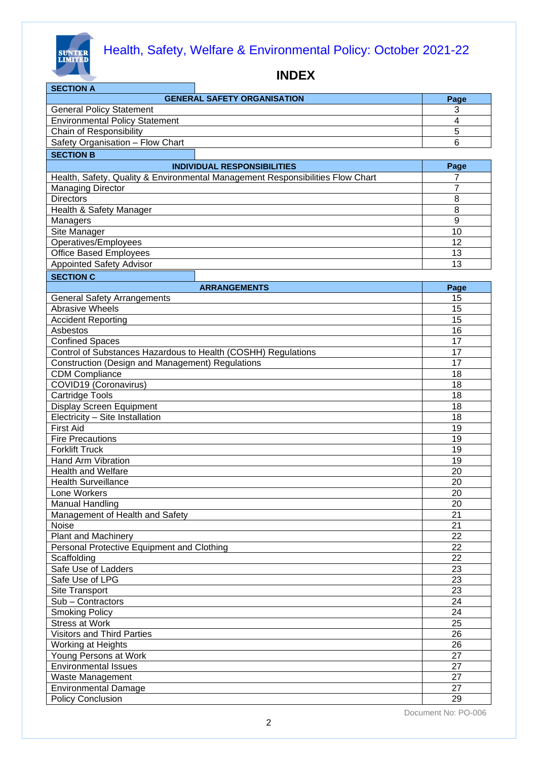

| <b>GENERAL SAFETY ORGANISATION</b><br>Page<br>3<br><b>General Policy Statement</b><br><b>Environmental Policy Statement</b><br>$\overline{4}$<br>Chain of Responsibility<br>5<br>Safety Organisation - Flow Chart<br>6<br><b>SECTION B</b><br>Page<br><b>INDIVIDUAL RESPONSIBILITIES</b><br>Health, Safety, Quality & Environmental Management Responsibilities Flow Chart<br>7<br>$\overline{7}$<br><b>Managing Director</b><br><b>Directors</b><br>8<br>8<br>Health & Safety Manager<br>$\mathsf g$<br>Managers<br>Site Manager<br>10<br>12<br>Operatives/Employees<br><b>Office Based Employees</b><br>13<br>$\overline{13}$<br><b>Appointed Safety Advisor</b><br><b>SECTION C</b><br><b>ARRANGEMENTS</b><br>Page<br><b>General Safety Arrangements</b><br>15<br><b>Abrasive Wheels</b><br>15<br><b>Accident Reporting</b><br>15<br>Asbestos<br>16<br><b>Confined Spaces</b><br>17<br>Control of Substances Hazardous to Health (COSHH) Regulations<br>17<br>Construction (Design and Management) Regulations<br>17<br><b>CDM Compliance</b><br>18<br>COVID19 (Coronavirus)<br>18<br><b>Cartridge Tools</b><br>18<br><b>Display Screen Equipment</b><br>18<br>Electricity - Site Installation<br>18<br><b>First Aid</b><br>19<br><b>Fire Precautions</b><br>19<br><b>Forklift Truck</b><br>19<br>Hand Arm Vibration<br>19<br><b>Health and Welfare</b><br>20<br><b>Health Surveillance</b><br>20<br>Lone Workers<br>20<br><b>Manual Handling</b><br>20<br>Management of Health and Safety<br>21<br>Noise<br>21<br><b>Plant and Machinery</b><br>22<br>Personal Protective Equipment and Clothing<br>22<br>Scaffolding<br>22<br>Safe Use of Ladders<br>23<br>Safe Use of LPG<br>23<br>Site Transport<br>23<br>Sub - Contractors<br>24<br><b>Smoking Policy</b><br>24<br><b>Stress at Work</b><br>25<br><b>Visitors and Third Parties</b><br>26<br>Working at Heights<br>26<br>Young Persons at Work<br>27<br><b>Environmental Issues</b><br>27<br>Waste Management<br>27<br><b>Environmental Damage</b><br>27 | <b>SECTION A</b>  |    |
|------------------------------------------------------------------------------------------------------------------------------------------------------------------------------------------------------------------------------------------------------------------------------------------------------------------------------------------------------------------------------------------------------------------------------------------------------------------------------------------------------------------------------------------------------------------------------------------------------------------------------------------------------------------------------------------------------------------------------------------------------------------------------------------------------------------------------------------------------------------------------------------------------------------------------------------------------------------------------------------------------------------------------------------------------------------------------------------------------------------------------------------------------------------------------------------------------------------------------------------------------------------------------------------------------------------------------------------------------------------------------------------------------------------------------------------------------------------------------------------------------------------------------------------------------------------------------------------------------------------------------------------------------------------------------------------------------------------------------------------------------------------------------------------------------------------------------------------------------------------------------------------------------------------------------------------------------------------------------------------------------------------|-------------------|----|
|                                                                                                                                                                                                                                                                                                                                                                                                                                                                                                                                                                                                                                                                                                                                                                                                                                                                                                                                                                                                                                                                                                                                                                                                                                                                                                                                                                                                                                                                                                                                                                                                                                                                                                                                                                                                                                                                                                                                                                                                                  |                   |    |
|                                                                                                                                                                                                                                                                                                                                                                                                                                                                                                                                                                                                                                                                                                                                                                                                                                                                                                                                                                                                                                                                                                                                                                                                                                                                                                                                                                                                                                                                                                                                                                                                                                                                                                                                                                                                                                                                                                                                                                                                                  |                   |    |
|                                                                                                                                                                                                                                                                                                                                                                                                                                                                                                                                                                                                                                                                                                                                                                                                                                                                                                                                                                                                                                                                                                                                                                                                                                                                                                                                                                                                                                                                                                                                                                                                                                                                                                                                                                                                                                                                                                                                                                                                                  |                   |    |
|                                                                                                                                                                                                                                                                                                                                                                                                                                                                                                                                                                                                                                                                                                                                                                                                                                                                                                                                                                                                                                                                                                                                                                                                                                                                                                                                                                                                                                                                                                                                                                                                                                                                                                                                                                                                                                                                                                                                                                                                                  |                   |    |
|                                                                                                                                                                                                                                                                                                                                                                                                                                                                                                                                                                                                                                                                                                                                                                                                                                                                                                                                                                                                                                                                                                                                                                                                                                                                                                                                                                                                                                                                                                                                                                                                                                                                                                                                                                                                                                                                                                                                                                                                                  |                   |    |
|                                                                                                                                                                                                                                                                                                                                                                                                                                                                                                                                                                                                                                                                                                                                                                                                                                                                                                                                                                                                                                                                                                                                                                                                                                                                                                                                                                                                                                                                                                                                                                                                                                                                                                                                                                                                                                                                                                                                                                                                                  |                   |    |
|                                                                                                                                                                                                                                                                                                                                                                                                                                                                                                                                                                                                                                                                                                                                                                                                                                                                                                                                                                                                                                                                                                                                                                                                                                                                                                                                                                                                                                                                                                                                                                                                                                                                                                                                                                                                                                                                                                                                                                                                                  |                   |    |
|                                                                                                                                                                                                                                                                                                                                                                                                                                                                                                                                                                                                                                                                                                                                                                                                                                                                                                                                                                                                                                                                                                                                                                                                                                                                                                                                                                                                                                                                                                                                                                                                                                                                                                                                                                                                                                                                                                                                                                                                                  |                   |    |
|                                                                                                                                                                                                                                                                                                                                                                                                                                                                                                                                                                                                                                                                                                                                                                                                                                                                                                                                                                                                                                                                                                                                                                                                                                                                                                                                                                                                                                                                                                                                                                                                                                                                                                                                                                                                                                                                                                                                                                                                                  |                   |    |
|                                                                                                                                                                                                                                                                                                                                                                                                                                                                                                                                                                                                                                                                                                                                                                                                                                                                                                                                                                                                                                                                                                                                                                                                                                                                                                                                                                                                                                                                                                                                                                                                                                                                                                                                                                                                                                                                                                                                                                                                                  |                   |    |
|                                                                                                                                                                                                                                                                                                                                                                                                                                                                                                                                                                                                                                                                                                                                                                                                                                                                                                                                                                                                                                                                                                                                                                                                                                                                                                                                                                                                                                                                                                                                                                                                                                                                                                                                                                                                                                                                                                                                                                                                                  |                   |    |
|                                                                                                                                                                                                                                                                                                                                                                                                                                                                                                                                                                                                                                                                                                                                                                                                                                                                                                                                                                                                                                                                                                                                                                                                                                                                                                                                                                                                                                                                                                                                                                                                                                                                                                                                                                                                                                                                                                                                                                                                                  |                   |    |
|                                                                                                                                                                                                                                                                                                                                                                                                                                                                                                                                                                                                                                                                                                                                                                                                                                                                                                                                                                                                                                                                                                                                                                                                                                                                                                                                                                                                                                                                                                                                                                                                                                                                                                                                                                                                                                                                                                                                                                                                                  |                   |    |
|                                                                                                                                                                                                                                                                                                                                                                                                                                                                                                                                                                                                                                                                                                                                                                                                                                                                                                                                                                                                                                                                                                                                                                                                                                                                                                                                                                                                                                                                                                                                                                                                                                                                                                                                                                                                                                                                                                                                                                                                                  |                   |    |
|                                                                                                                                                                                                                                                                                                                                                                                                                                                                                                                                                                                                                                                                                                                                                                                                                                                                                                                                                                                                                                                                                                                                                                                                                                                                                                                                                                                                                                                                                                                                                                                                                                                                                                                                                                                                                                                                                                                                                                                                                  |                   |    |
|                                                                                                                                                                                                                                                                                                                                                                                                                                                                                                                                                                                                                                                                                                                                                                                                                                                                                                                                                                                                                                                                                                                                                                                                                                                                                                                                                                                                                                                                                                                                                                                                                                                                                                                                                                                                                                                                                                                                                                                                                  |                   |    |
|                                                                                                                                                                                                                                                                                                                                                                                                                                                                                                                                                                                                                                                                                                                                                                                                                                                                                                                                                                                                                                                                                                                                                                                                                                                                                                                                                                                                                                                                                                                                                                                                                                                                                                                                                                                                                                                                                                                                                                                                                  |                   |    |
|                                                                                                                                                                                                                                                                                                                                                                                                                                                                                                                                                                                                                                                                                                                                                                                                                                                                                                                                                                                                                                                                                                                                                                                                                                                                                                                                                                                                                                                                                                                                                                                                                                                                                                                                                                                                                                                                                                                                                                                                                  |                   |    |
|                                                                                                                                                                                                                                                                                                                                                                                                                                                                                                                                                                                                                                                                                                                                                                                                                                                                                                                                                                                                                                                                                                                                                                                                                                                                                                                                                                                                                                                                                                                                                                                                                                                                                                                                                                                                                                                                                                                                                                                                                  |                   |    |
|                                                                                                                                                                                                                                                                                                                                                                                                                                                                                                                                                                                                                                                                                                                                                                                                                                                                                                                                                                                                                                                                                                                                                                                                                                                                                                                                                                                                                                                                                                                                                                                                                                                                                                                                                                                                                                                                                                                                                                                                                  |                   |    |
|                                                                                                                                                                                                                                                                                                                                                                                                                                                                                                                                                                                                                                                                                                                                                                                                                                                                                                                                                                                                                                                                                                                                                                                                                                                                                                                                                                                                                                                                                                                                                                                                                                                                                                                                                                                                                                                                                                                                                                                                                  |                   |    |
|                                                                                                                                                                                                                                                                                                                                                                                                                                                                                                                                                                                                                                                                                                                                                                                                                                                                                                                                                                                                                                                                                                                                                                                                                                                                                                                                                                                                                                                                                                                                                                                                                                                                                                                                                                                                                                                                                                                                                                                                                  |                   |    |
|                                                                                                                                                                                                                                                                                                                                                                                                                                                                                                                                                                                                                                                                                                                                                                                                                                                                                                                                                                                                                                                                                                                                                                                                                                                                                                                                                                                                                                                                                                                                                                                                                                                                                                                                                                                                                                                                                                                                                                                                                  |                   |    |
|                                                                                                                                                                                                                                                                                                                                                                                                                                                                                                                                                                                                                                                                                                                                                                                                                                                                                                                                                                                                                                                                                                                                                                                                                                                                                                                                                                                                                                                                                                                                                                                                                                                                                                                                                                                                                                                                                                                                                                                                                  |                   |    |
|                                                                                                                                                                                                                                                                                                                                                                                                                                                                                                                                                                                                                                                                                                                                                                                                                                                                                                                                                                                                                                                                                                                                                                                                                                                                                                                                                                                                                                                                                                                                                                                                                                                                                                                                                                                                                                                                                                                                                                                                                  |                   |    |
|                                                                                                                                                                                                                                                                                                                                                                                                                                                                                                                                                                                                                                                                                                                                                                                                                                                                                                                                                                                                                                                                                                                                                                                                                                                                                                                                                                                                                                                                                                                                                                                                                                                                                                                                                                                                                                                                                                                                                                                                                  |                   |    |
|                                                                                                                                                                                                                                                                                                                                                                                                                                                                                                                                                                                                                                                                                                                                                                                                                                                                                                                                                                                                                                                                                                                                                                                                                                                                                                                                                                                                                                                                                                                                                                                                                                                                                                                                                                                                                                                                                                                                                                                                                  |                   |    |
|                                                                                                                                                                                                                                                                                                                                                                                                                                                                                                                                                                                                                                                                                                                                                                                                                                                                                                                                                                                                                                                                                                                                                                                                                                                                                                                                                                                                                                                                                                                                                                                                                                                                                                                                                                                                                                                                                                                                                                                                                  |                   |    |
|                                                                                                                                                                                                                                                                                                                                                                                                                                                                                                                                                                                                                                                                                                                                                                                                                                                                                                                                                                                                                                                                                                                                                                                                                                                                                                                                                                                                                                                                                                                                                                                                                                                                                                                                                                                                                                                                                                                                                                                                                  |                   |    |
|                                                                                                                                                                                                                                                                                                                                                                                                                                                                                                                                                                                                                                                                                                                                                                                                                                                                                                                                                                                                                                                                                                                                                                                                                                                                                                                                                                                                                                                                                                                                                                                                                                                                                                                                                                                                                                                                                                                                                                                                                  |                   |    |
|                                                                                                                                                                                                                                                                                                                                                                                                                                                                                                                                                                                                                                                                                                                                                                                                                                                                                                                                                                                                                                                                                                                                                                                                                                                                                                                                                                                                                                                                                                                                                                                                                                                                                                                                                                                                                                                                                                                                                                                                                  |                   |    |
|                                                                                                                                                                                                                                                                                                                                                                                                                                                                                                                                                                                                                                                                                                                                                                                                                                                                                                                                                                                                                                                                                                                                                                                                                                                                                                                                                                                                                                                                                                                                                                                                                                                                                                                                                                                                                                                                                                                                                                                                                  |                   |    |
|                                                                                                                                                                                                                                                                                                                                                                                                                                                                                                                                                                                                                                                                                                                                                                                                                                                                                                                                                                                                                                                                                                                                                                                                                                                                                                                                                                                                                                                                                                                                                                                                                                                                                                                                                                                                                                                                                                                                                                                                                  |                   |    |
|                                                                                                                                                                                                                                                                                                                                                                                                                                                                                                                                                                                                                                                                                                                                                                                                                                                                                                                                                                                                                                                                                                                                                                                                                                                                                                                                                                                                                                                                                                                                                                                                                                                                                                                                                                                                                                                                                                                                                                                                                  |                   |    |
|                                                                                                                                                                                                                                                                                                                                                                                                                                                                                                                                                                                                                                                                                                                                                                                                                                                                                                                                                                                                                                                                                                                                                                                                                                                                                                                                                                                                                                                                                                                                                                                                                                                                                                                                                                                                                                                                                                                                                                                                                  |                   |    |
|                                                                                                                                                                                                                                                                                                                                                                                                                                                                                                                                                                                                                                                                                                                                                                                                                                                                                                                                                                                                                                                                                                                                                                                                                                                                                                                                                                                                                                                                                                                                                                                                                                                                                                                                                                                                                                                                                                                                                                                                                  |                   |    |
|                                                                                                                                                                                                                                                                                                                                                                                                                                                                                                                                                                                                                                                                                                                                                                                                                                                                                                                                                                                                                                                                                                                                                                                                                                                                                                                                                                                                                                                                                                                                                                                                                                                                                                                                                                                                                                                                                                                                                                                                                  |                   |    |
|                                                                                                                                                                                                                                                                                                                                                                                                                                                                                                                                                                                                                                                                                                                                                                                                                                                                                                                                                                                                                                                                                                                                                                                                                                                                                                                                                                                                                                                                                                                                                                                                                                                                                                                                                                                                                                                                                                                                                                                                                  |                   |    |
|                                                                                                                                                                                                                                                                                                                                                                                                                                                                                                                                                                                                                                                                                                                                                                                                                                                                                                                                                                                                                                                                                                                                                                                                                                                                                                                                                                                                                                                                                                                                                                                                                                                                                                                                                                                                                                                                                                                                                                                                                  |                   |    |
|                                                                                                                                                                                                                                                                                                                                                                                                                                                                                                                                                                                                                                                                                                                                                                                                                                                                                                                                                                                                                                                                                                                                                                                                                                                                                                                                                                                                                                                                                                                                                                                                                                                                                                                                                                                                                                                                                                                                                                                                                  |                   |    |
|                                                                                                                                                                                                                                                                                                                                                                                                                                                                                                                                                                                                                                                                                                                                                                                                                                                                                                                                                                                                                                                                                                                                                                                                                                                                                                                                                                                                                                                                                                                                                                                                                                                                                                                                                                                                                                                                                                                                                                                                                  |                   |    |
|                                                                                                                                                                                                                                                                                                                                                                                                                                                                                                                                                                                                                                                                                                                                                                                                                                                                                                                                                                                                                                                                                                                                                                                                                                                                                                                                                                                                                                                                                                                                                                                                                                                                                                                                                                                                                                                                                                                                                                                                                  |                   |    |
|                                                                                                                                                                                                                                                                                                                                                                                                                                                                                                                                                                                                                                                                                                                                                                                                                                                                                                                                                                                                                                                                                                                                                                                                                                                                                                                                                                                                                                                                                                                                                                                                                                                                                                                                                                                                                                                                                                                                                                                                                  |                   |    |
|                                                                                                                                                                                                                                                                                                                                                                                                                                                                                                                                                                                                                                                                                                                                                                                                                                                                                                                                                                                                                                                                                                                                                                                                                                                                                                                                                                                                                                                                                                                                                                                                                                                                                                                                                                                                                                                                                                                                                                                                                  |                   |    |
|                                                                                                                                                                                                                                                                                                                                                                                                                                                                                                                                                                                                                                                                                                                                                                                                                                                                                                                                                                                                                                                                                                                                                                                                                                                                                                                                                                                                                                                                                                                                                                                                                                                                                                                                                                                                                                                                                                                                                                                                                  |                   |    |
|                                                                                                                                                                                                                                                                                                                                                                                                                                                                                                                                                                                                                                                                                                                                                                                                                                                                                                                                                                                                                                                                                                                                                                                                                                                                                                                                                                                                                                                                                                                                                                                                                                                                                                                                                                                                                                                                                                                                                                                                                  |                   |    |
|                                                                                                                                                                                                                                                                                                                                                                                                                                                                                                                                                                                                                                                                                                                                                                                                                                                                                                                                                                                                                                                                                                                                                                                                                                                                                                                                                                                                                                                                                                                                                                                                                                                                                                                                                                                                                                                                                                                                                                                                                  |                   |    |
|                                                                                                                                                                                                                                                                                                                                                                                                                                                                                                                                                                                                                                                                                                                                                                                                                                                                                                                                                                                                                                                                                                                                                                                                                                                                                                                                                                                                                                                                                                                                                                                                                                                                                                                                                                                                                                                                                                                                                                                                                  |                   |    |
|                                                                                                                                                                                                                                                                                                                                                                                                                                                                                                                                                                                                                                                                                                                                                                                                                                                                                                                                                                                                                                                                                                                                                                                                                                                                                                                                                                                                                                                                                                                                                                                                                                                                                                                                                                                                                                                                                                                                                                                                                  |                   |    |
|                                                                                                                                                                                                                                                                                                                                                                                                                                                                                                                                                                                                                                                                                                                                                                                                                                                                                                                                                                                                                                                                                                                                                                                                                                                                                                                                                                                                                                                                                                                                                                                                                                                                                                                                                                                                                                                                                                                                                                                                                  |                   |    |
|                                                                                                                                                                                                                                                                                                                                                                                                                                                                                                                                                                                                                                                                                                                                                                                                                                                                                                                                                                                                                                                                                                                                                                                                                                                                                                                                                                                                                                                                                                                                                                                                                                                                                                                                                                                                                                                                                                                                                                                                                  |                   |    |
|                                                                                                                                                                                                                                                                                                                                                                                                                                                                                                                                                                                                                                                                                                                                                                                                                                                                                                                                                                                                                                                                                                                                                                                                                                                                                                                                                                                                                                                                                                                                                                                                                                                                                                                                                                                                                                                                                                                                                                                                                  |                   |    |
|                                                                                                                                                                                                                                                                                                                                                                                                                                                                                                                                                                                                                                                                                                                                                                                                                                                                                                                                                                                                                                                                                                                                                                                                                                                                                                                                                                                                                                                                                                                                                                                                                                                                                                                                                                                                                                                                                                                                                                                                                  |                   |    |
|                                                                                                                                                                                                                                                                                                                                                                                                                                                                                                                                                                                                                                                                                                                                                                                                                                                                                                                                                                                                                                                                                                                                                                                                                                                                                                                                                                                                                                                                                                                                                                                                                                                                                                                                                                                                                                                                                                                                                                                                                  |                   |    |
|                                                                                                                                                                                                                                                                                                                                                                                                                                                                                                                                                                                                                                                                                                                                                                                                                                                                                                                                                                                                                                                                                                                                                                                                                                                                                                                                                                                                                                                                                                                                                                                                                                                                                                                                                                                                                                                                                                                                                                                                                  | Policy Conclusion | 29 |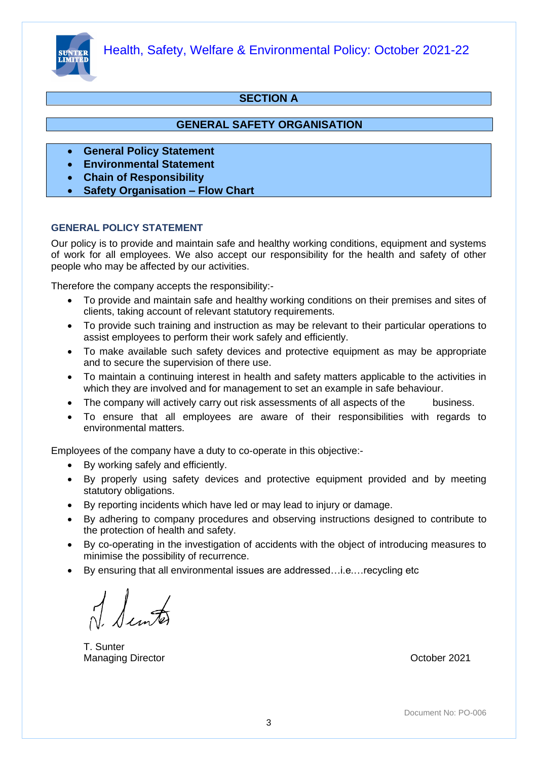

#### **SECTION A**

#### **GENERAL SAFETY ORGANISATION**

- **General Policy Statement**
- **Environmental Statement**
- **Chain of Responsibility**
- **Safety Organisation – Flow Chart**

#### **GENERAL POLICY STATEMENT**

Our policy is to provide and maintain safe and healthy working conditions, equipment and systems of work for all employees. We also accept our responsibility for the health and safety of other people who may be affected by our activities.

Therefore the company accepts the responsibility:-

- To provide and maintain safe and healthy working conditions on their premises and sites of clients, taking account of relevant statutory requirements.
- To provide such training and instruction as may be relevant to their particular operations to assist employees to perform their work safely and efficiently.
- To make available such safety devices and protective equipment as may be appropriate and to secure the supervision of there use.
- To maintain a continuing interest in health and safety matters applicable to the activities in which they are involved and for management to set an example in safe behaviour.
- The company will actively carry out risk assessments of all aspects of the business.
- To ensure that all employees are aware of their responsibilities with regards to environmental matters.

Employees of the company have a duty to co-operate in this objective:-

- By working safely and efficiently.
- By properly using safety devices and protective equipment provided and by meeting statutory obligations.
- By reporting incidents which have led or may lead to injury or damage.
- By adhering to company procedures and observing instructions designed to contribute to the protection of health and safety.
- By co-operating in the investigation of accidents with the object of introducing measures to minimise the possibility of recurrence.
- By ensuring that all environmental issues are addressed…i.e.…recycling etc

 $\int_{\mathbb{Z}}$ 

T. Sunter Managing Director **Contracts** Contracts and Communication of the Contracts October 2021

Document No: PO-006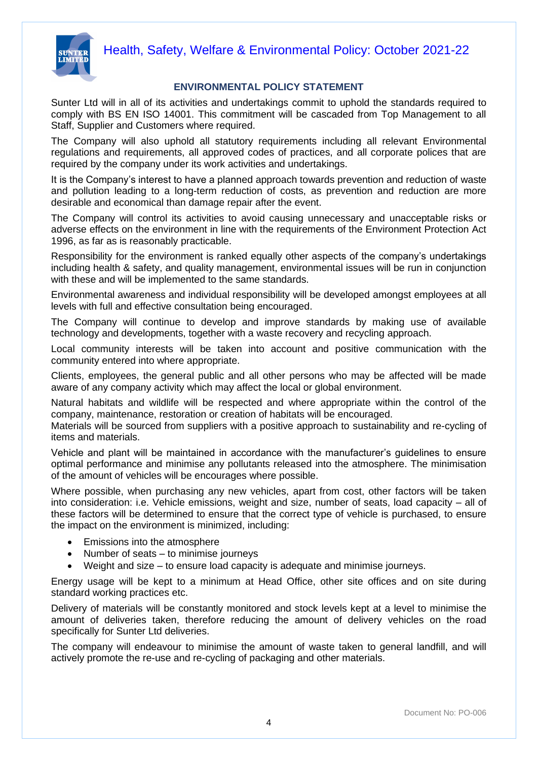

#### **ENVIRONMENTAL POLICY STATEMENT**

Sunter Ltd will in all of its activities and undertakings commit to uphold the standards required to comply with BS EN ISO 14001. This commitment will be cascaded from Top Management to all Staff, Supplier and Customers where required.

The Company will also uphold all statutory requirements including all relevant Environmental regulations and requirements, all approved codes of practices, and all corporate polices that are required by the company under its work activities and undertakings.

It is the Company's interest to have a planned approach towards prevention and reduction of waste and pollution leading to a long-term reduction of costs, as prevention and reduction are more desirable and economical than damage repair after the event.

The Company will control its activities to avoid causing unnecessary and unacceptable risks or adverse effects on the environment in line with the requirements of the Environment Protection Act 1996, as far as is reasonably practicable.

Responsibility for the environment is ranked equally other aspects of the company's undertakings including health & safety, and quality management, environmental issues will be run in conjunction with these and will be implemented to the same standards.

Environmental awareness and individual responsibility will be developed amongst employees at all levels with full and effective consultation being encouraged.

The Company will continue to develop and improve standards by making use of available technology and developments, together with a waste recovery and recycling approach.

Local community interests will be taken into account and positive communication with the community entered into where appropriate.

Clients, employees, the general public and all other persons who may be affected will be made aware of any company activity which may affect the local or global environment.

Natural habitats and wildlife will be respected and where appropriate within the control of the company, maintenance, restoration or creation of habitats will be encouraged.

Materials will be sourced from suppliers with a positive approach to sustainability and re-cycling of items and materials.

Vehicle and plant will be maintained in accordance with the manufacturer's guidelines to ensure optimal performance and minimise any pollutants released into the atmosphere. The minimisation of the amount of vehicles will be encourages where possible.

Where possible, when purchasing any new vehicles, apart from cost, other factors will be taken into consideration: i.e. Vehicle emissions, weight and size, number of seats, load capacity – all of these factors will be determined to ensure that the correct type of vehicle is purchased, to ensure the impact on the environment is minimized, including:

- Emissions into the atmosphere
- Number of seats to minimise journeys
- Weight and size to ensure load capacity is adequate and minimise journeys.

Energy usage will be kept to a minimum at Head Office, other site offices and on site during standard working practices etc.

Delivery of materials will be constantly monitored and stock levels kept at a level to minimise the amount of deliveries taken, therefore reducing the amount of delivery vehicles on the road specifically for Sunter Ltd deliveries.

The company will endeavour to minimise the amount of waste taken to general landfill, and will actively promote the re-use and re-cycling of packaging and other materials.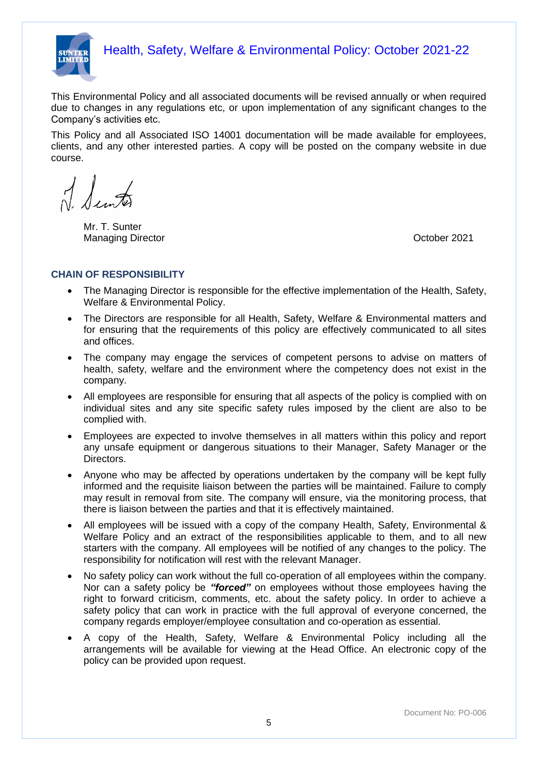

This Environmental Policy and all associated documents will be revised annually or when required due to changes in any regulations etc, or upon implementation of any significant changes to the Company's activities etc.

This Policy and all Associated ISO 14001 documentation will be made available for employees, clients, and any other interested parties. A copy will be posted on the company website in due course.

Ilinto

Mr. T. Sunter Managing Director **Contracts** Contracts and Contracts Contracts Contracts October 2021

#### **CHAIN OF RESPONSIBILITY**

- The Managing Director is responsible for the effective implementation of the Health, Safety, Welfare & Environmental Policy.
- The Directors are responsible for all Health, Safety, Welfare & Environmental matters and for ensuring that the requirements of this policy are effectively communicated to all sites and offices.
- The company may engage the services of competent persons to advise on matters of health, safety, welfare and the environment where the competency does not exist in the company.
- All employees are responsible for ensuring that all aspects of the policy is complied with on individual sites and any site specific safety rules imposed by the client are also to be complied with.
- Employees are expected to involve themselves in all matters within this policy and report any unsafe equipment or dangerous situations to their Manager, Safety Manager or the Directors.
- Anyone who may be affected by operations undertaken by the company will be kept fully informed and the requisite liaison between the parties will be maintained. Failure to comply may result in removal from site. The company will ensure, via the monitoring process, that there is liaison between the parties and that it is effectively maintained.
- All employees will be issued with a copy of the company Health, Safety, Environmental & Welfare Policy and an extract of the responsibilities applicable to them, and to all new starters with the company. All employees will be notified of any changes to the policy. The responsibility for notification will rest with the relevant Manager.
- No safety policy can work without the full co-operation of all employees within the company. Nor can a safety policy be *"forced"* on employees without those employees having the right to forward criticism, comments, etc. about the safety policy. In order to achieve a safety policy that can work in practice with the full approval of everyone concerned, the company regards employer/employee consultation and co-operation as essential.
- A copy of the Health, Safety, Welfare & Environmental Policy including all the arrangements will be available for viewing at the Head Office. An electronic copy of the policy can be provided upon request.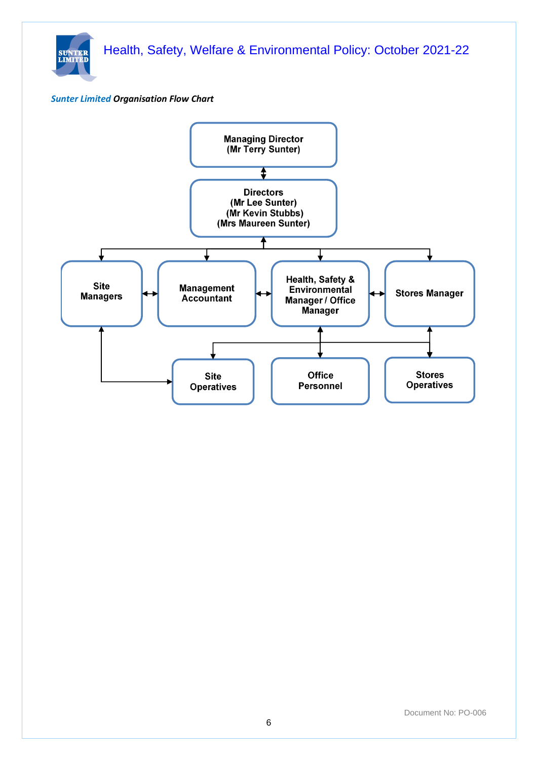

#### *Sunter Limited Organisation Flow Chart*

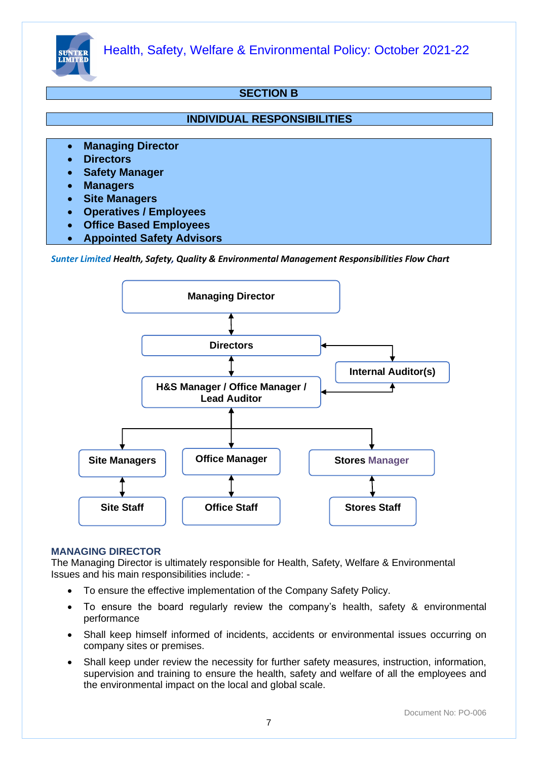

# **SECTION B**

#### **INDIVIDUAL RESPONSIBILITIES**

- **Managing Director**
- **Directors**
- **Safety Manager**
- **Managers**
- **Site Managers**
- **Operatives / Employees**
- **Office Based Employees**
- **Appointed Safety Advisors**

*Sunter Limited Health, Safety, Quality & Environmental Management Responsibilities Flow Chart*



#### **MANAGING DIRECTOR**

The Managing Director is ultimately responsible for Health, Safety, Welfare & Environmental Issues and his main responsibilities include: -

- To ensure the effective implementation of the Company Safety Policy.
- To ensure the board regularly review the company's health, safety & environmental performance
- Shall keep himself informed of incidents, accidents or environmental issues occurring on company sites or premises.
- Shall keep under review the necessity for further safety measures, instruction, information, supervision and training to ensure the health, safety and welfare of all the employees and the environmental impact on the local and global scale.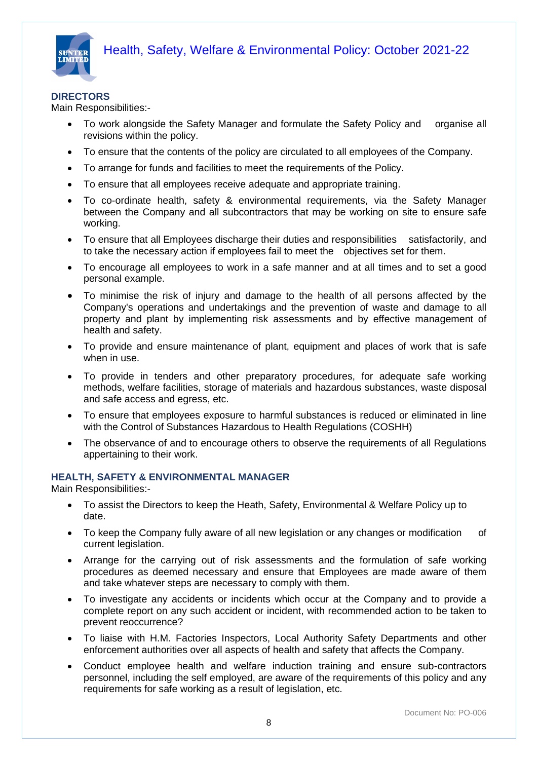



#### **DIRECTORS**

Main Responsibilities:-

- To work alongside the Safety Manager and formulate the Safety Policy and organise all revisions within the policy.
- To ensure that the contents of the policy are circulated to all employees of the Company.
- To arrange for funds and facilities to meet the requirements of the Policy.
- To ensure that all employees receive adequate and appropriate training.
- To co-ordinate health, safety & environmental requirements, via the Safety Manager between the Company and all subcontractors that may be working on site to ensure safe working.
- To ensure that all Employees discharge their duties and responsibilities satisfactorily, and to take the necessary action if employees fail to meet the objectives set for them.
- To encourage all employees to work in a safe manner and at all times and to set a good personal example.
- To minimise the risk of injury and damage to the health of all persons affected by the Company's operations and undertakings and the prevention of waste and damage to all property and plant by implementing risk assessments and by effective management of health and safety.
- To provide and ensure maintenance of plant, equipment and places of work that is safe when in use.
- To provide in tenders and other preparatory procedures, for adequate safe working methods, welfare facilities, storage of materials and hazardous substances, waste disposal and safe access and egress, etc.
- To ensure that employees exposure to harmful substances is reduced or eliminated in line with the Control of Substances Hazardous to Health Regulations (COSHH)
- The observance of and to encourage others to observe the requirements of all Regulations appertaining to their work.

#### **HEALTH, SAFETY & ENVIRONMENTAL MANAGER**

Main Responsibilities:-

- To assist the Directors to keep the Heath, Safety, Environmental & Welfare Policy up to date.
- To keep the Company fully aware of all new legislation or any changes or modification of current legislation.
- Arrange for the carrying out of risk assessments and the formulation of safe working procedures as deemed necessary and ensure that Employees are made aware of them and take whatever steps are necessary to comply with them.
- To investigate any accidents or incidents which occur at the Company and to provide a complete report on any such accident or incident, with recommended action to be taken to prevent reoccurrence?
- To liaise with H.M. Factories Inspectors, Local Authority Safety Departments and other enforcement authorities over all aspects of health and safety that affects the Company.
- Conduct employee health and welfare induction training and ensure sub-contractors personnel, including the self employed, are aware of the requirements of this policy and any requirements for safe working as a result of legislation, etc.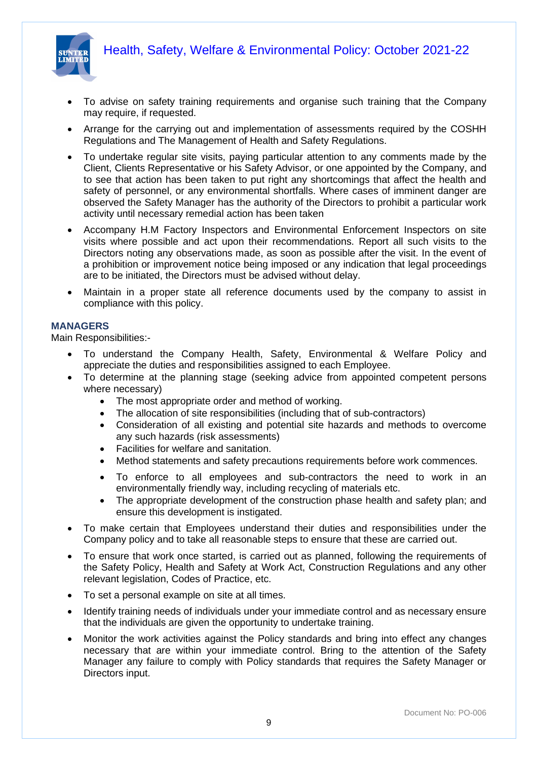

- To advise on safety training requirements and organise such training that the Company may require, if requested.
- Arrange for the carrying out and implementation of assessments required by the COSHH Regulations and The Management of Health and Safety Regulations.
- To undertake regular site visits, paying particular attention to any comments made by the Client, Clients Representative or his Safety Advisor, or one appointed by the Company, and to see that action has been taken to put right any shortcomings that affect the health and safety of personnel, or any environmental shortfalls. Where cases of imminent danger are observed the Safety Manager has the authority of the Directors to prohibit a particular work activity until necessary remedial action has been taken
- Accompany H.M Factory Inspectors and Environmental Enforcement Inspectors on site visits where possible and act upon their recommendations. Report all such visits to the Directors noting any observations made, as soon as possible after the visit. In the event of a prohibition or improvement notice being imposed or any indication that legal proceedings are to be initiated, the Directors must be advised without delay.
- Maintain in a proper state all reference documents used by the company to assist in compliance with this policy.

#### **MANAGERS**

Main Responsibilities:-

- To understand the Company Health, Safety, Environmental & Welfare Policy and appreciate the duties and responsibilities assigned to each Employee.
- To determine at the planning stage (seeking advice from appointed competent persons where necessary)
	- The most appropriate order and method of working.
	- The allocation of site responsibilities (including that of sub-contractors)
	- Consideration of all existing and potential site hazards and methods to overcome any such hazards (risk assessments)
	- Facilities for welfare and sanitation.
	- Method statements and safety precautions requirements before work commences.
	- To enforce to all employees and sub-contractors the need to work in an environmentally friendly way, including recycling of materials etc.
	- The appropriate development of the construction phase health and safety plan; and ensure this development is instigated.
- To make certain that Employees understand their duties and responsibilities under the Company policy and to take all reasonable steps to ensure that these are carried out.
- To ensure that work once started, is carried out as planned, following the requirements of the Safety Policy, Health and Safety at Work Act, Construction Regulations and any other relevant legislation, Codes of Practice, etc.
- To set a personal example on site at all times.
- Identify training needs of individuals under your immediate control and as necessary ensure that the individuals are given the opportunity to undertake training.
- Monitor the work activities against the Policy standards and bring into effect any changes necessary that are within your immediate control. Bring to the attention of the Safety Manager any failure to comply with Policy standards that requires the Safety Manager or Directors input.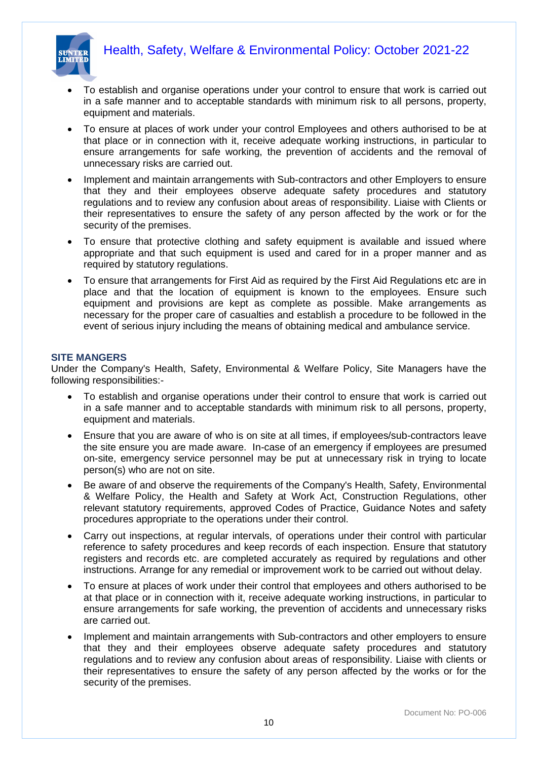

- To establish and organise operations under your control to ensure that work is carried out in a safe manner and to acceptable standards with minimum risk to all persons, property, equipment and materials.
- To ensure at places of work under your control Employees and others authorised to be at that place or in connection with it, receive adequate working instructions, in particular to ensure arrangements for safe working, the prevention of accidents and the removal of unnecessary risks are carried out.
- Implement and maintain arrangements with Sub-contractors and other Employers to ensure that they and their employees observe adequate safety procedures and statutory regulations and to review any confusion about areas of responsibility. Liaise with Clients or their representatives to ensure the safety of any person affected by the work or for the security of the premises.
- To ensure that protective clothing and safety equipment is available and issued where appropriate and that such equipment is used and cared for in a proper manner and as required by statutory regulations.
- To ensure that arrangements for First Aid as required by the First Aid Regulations etc are in place and that the location of equipment is known to the employees. Ensure such equipment and provisions are kept as complete as possible. Make arrangements as necessary for the proper care of casualties and establish a procedure to be followed in the event of serious injury including the means of obtaining medical and ambulance service.

#### **SITE MANGERS**

Under the Company's Health, Safety, Environmental & Welfare Policy, Site Managers have the following responsibilities:-

- To establish and organise operations under their control to ensure that work is carried out in a safe manner and to acceptable standards with minimum risk to all persons, property, equipment and materials.
- Ensure that you are aware of who is on site at all times, if employees/sub-contractors leave the site ensure you are made aware. In-case of an emergency if employees are presumed on-site, emergency service personnel may be put at unnecessary risk in trying to locate person(s) who are not on site.
- Be aware of and observe the requirements of the Company's Health, Safety, Environmental & Welfare Policy, the Health and Safety at Work Act, Construction Regulations, other relevant statutory requirements, approved Codes of Practice, Guidance Notes and safety procedures appropriate to the operations under their control.
- Carry out inspections, at regular intervals, of operations under their control with particular reference to safety procedures and keep records of each inspection. Ensure that statutory registers and records etc. are completed accurately as required by regulations and other instructions. Arrange for any remedial or improvement work to be carried out without delay.
- To ensure at places of work under their control that employees and others authorised to be at that place or in connection with it, receive adequate working instructions, in particular to ensure arrangements for safe working, the prevention of accidents and unnecessary risks are carried out.
- Implement and maintain arrangements with Sub-contractors and other employers to ensure that they and their employees observe adequate safety procedures and statutory regulations and to review any confusion about areas of responsibility. Liaise with clients or their representatives to ensure the safety of any person affected by the works or for the security of the premises.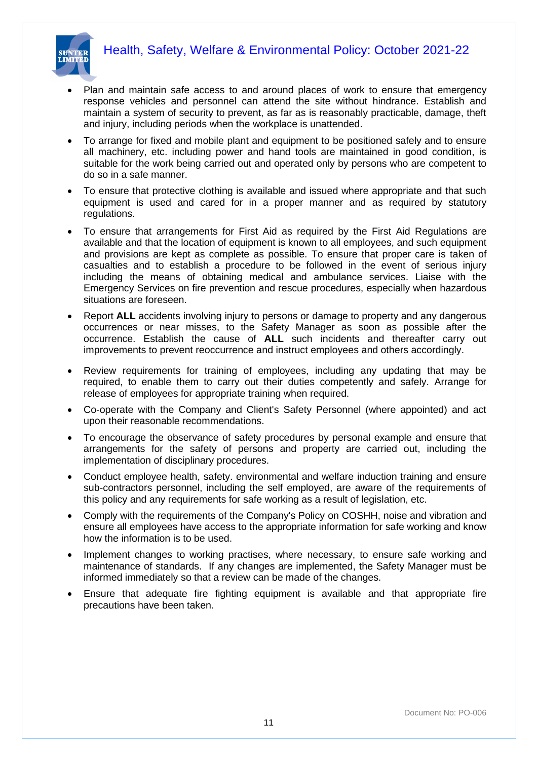



- Plan and maintain safe access to and around places of work to ensure that emergency response vehicles and personnel can attend the site without hindrance. Establish and maintain a system of security to prevent, as far as is reasonably practicable, damage, theft and injury, including periods when the workplace is unattended.
- To arrange for fixed and mobile plant and equipment to be positioned safely and to ensure all machinery, etc. including power and hand tools are maintained in good condition, is suitable for the work being carried out and operated only by persons who are competent to do so in a safe manner.
- To ensure that protective clothing is available and issued where appropriate and that such equipment is used and cared for in a proper manner and as required by statutory regulations.
- To ensure that arrangements for First Aid as required by the First Aid Regulations are available and that the location of equipment is known to all employees, and such equipment and provisions are kept as complete as possible. To ensure that proper care is taken of casualties and to establish a procedure to be followed in the event of serious injury including the means of obtaining medical and ambulance services. Liaise with the Emergency Services on fire prevention and rescue procedures, especially when hazardous situations are foreseen.
- Report **ALL** accidents involving injury to persons or damage to property and any dangerous occurrences or near misses, to the Safety Manager as soon as possible after the occurrence. Establish the cause of **ALL** such incidents and thereafter carry out improvements to prevent reoccurrence and instruct employees and others accordingly.
- Review requirements for training of employees, including any updating that may be required, to enable them to carry out their duties competently and safely. Arrange for release of employees for appropriate training when required.
- Co-operate with the Company and Client's Safety Personnel (where appointed) and act upon their reasonable recommendations.
- To encourage the observance of safety procedures by personal example and ensure that arrangements for the safety of persons and property are carried out, including the implementation of disciplinary procedures.
- Conduct employee health, safety. environmental and welfare induction training and ensure sub-contractors personnel, including the self employed, are aware of the requirements of this policy and any requirements for safe working as a result of legislation, etc.
- Comply with the requirements of the Company's Policy on COSHH, noise and vibration and ensure all employees have access to the appropriate information for safe working and know how the information is to be used.
- Implement changes to working practises, where necessary, to ensure safe working and maintenance of standards. If any changes are implemented, the Safety Manager must be informed immediately so that a review can be made of the changes.
- Ensure that adequate fire fighting equipment is available and that appropriate fire precautions have been taken.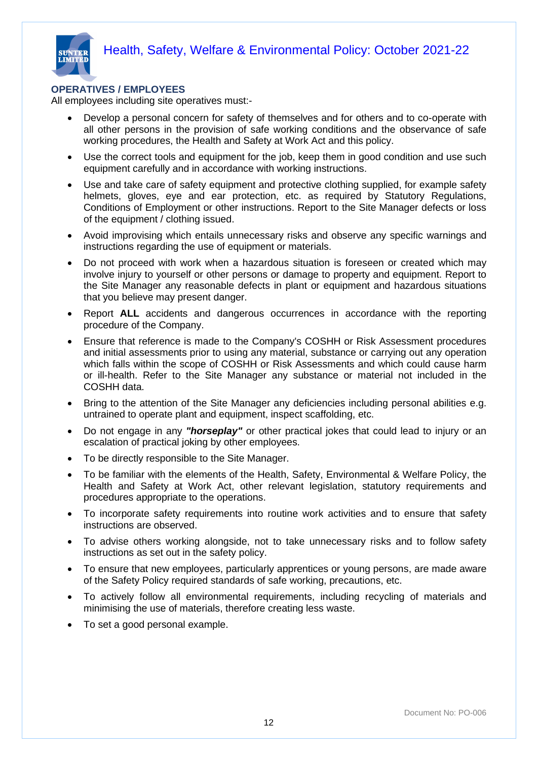

#### **OPERATIVES / EMPLOYEES**

All employees including site operatives must:-

- Develop a personal concern for safety of themselves and for others and to co-operate with all other persons in the provision of safe working conditions and the observance of safe working procedures, the Health and Safety at Work Act and this policy.
- Use the correct tools and equipment for the job, keep them in good condition and use such equipment carefully and in accordance with working instructions.
- Use and take care of safety equipment and protective clothing supplied, for example safety helmets, gloves, eye and ear protection, etc. as required by Statutory Regulations, Conditions of Employment or other instructions. Report to the Site Manager defects or loss of the equipment / clothing issued.
- Avoid improvising which entails unnecessary risks and observe any specific warnings and instructions regarding the use of equipment or materials.
- Do not proceed with work when a hazardous situation is foreseen or created which may involve injury to yourself or other persons or damage to property and equipment. Report to the Site Manager any reasonable defects in plant or equipment and hazardous situations that you believe may present danger.
- Report **ALL** accidents and dangerous occurrences in accordance with the reporting procedure of the Company.
- Ensure that reference is made to the Company's COSHH or Risk Assessment procedures and initial assessments prior to using any material, substance or carrying out any operation which falls within the scope of COSHH or Risk Assessments and which could cause harm or ill-health. Refer to the Site Manager any substance or material not included in the COSHH data.
- Bring to the attention of the Site Manager any deficiencies including personal abilities e.g. untrained to operate plant and equipment, inspect scaffolding, etc.
- Do not engage in any *"horseplay"* or other practical jokes that could lead to injury or an escalation of practical joking by other employees.
- To be directly responsible to the Site Manager.
- To be familiar with the elements of the Health, Safety, Environmental & Welfare Policy, the Health and Safety at Work Act, other relevant legislation, statutory requirements and procedures appropriate to the operations.
- To incorporate safety requirements into routine work activities and to ensure that safety instructions are observed.
- To advise others working alongside, not to take unnecessary risks and to follow safety instructions as set out in the safety policy.
- To ensure that new employees, particularly apprentices or young persons, are made aware of the Safety Policy required standards of safe working, precautions, etc.
- To actively follow all environmental requirements, including recycling of materials and minimising the use of materials, therefore creating less waste.
- To set a good personal example.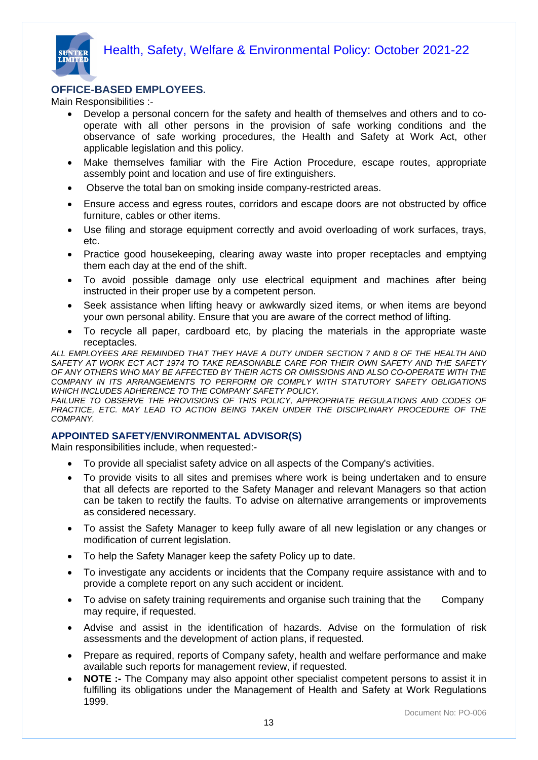

#### **OFFICE-BASED EMPLOYEES.**

Main Responsibilities :-

- Develop a personal concern for the safety and health of themselves and others and to cooperate with all other persons in the provision of safe working conditions and the observance of safe working procedures, the Health and Safety at Work Act, other applicable legislation and this policy.
- Make themselves familiar with the Fire Action Procedure, escape routes, appropriate assembly point and location and use of fire extinguishers.
- Observe the total ban on smoking inside company-restricted areas.
- Ensure access and egress routes, corridors and escape doors are not obstructed by office furniture, cables or other items.
- Use filing and storage equipment correctly and avoid overloading of work surfaces, trays, etc.
- Practice good housekeeping, clearing away waste into proper receptacles and emptying them each day at the end of the shift.
- To avoid possible damage only use electrical equipment and machines after being instructed in their proper use by a competent person.
- Seek assistance when lifting heavy or awkwardly sized items, or when items are beyond your own personal ability. Ensure that you are aware of the correct method of lifting.
- To recycle all paper, cardboard etc, by placing the materials in the appropriate waste receptacles.

*ALL EMPLOYEES ARE REMINDED THAT THEY HAVE A DUTY UNDER SECTION 7 AND 8 OF THE HEALTH AND SAFETY AT WORK ECT ACT 1974 TO TAKE REASONABLE CARE FOR THEIR OWN SAFETY AND THE SAFETY OF ANY OTHERS WHO MAY BE AFFECTED BY THEIR ACTS OR OMISSIONS AND ALSO CO-OPERATE WITH THE COMPANY IN ITS ARRANGEMENTS TO PERFORM OR COMPLY WITH STATUTORY SAFETY OBLIGATIONS WHICH INCLUDES ADHERENCE TO THE COMPANY SAFETY POLICY.*

FAILURE TO OBSERVE THE PROVISIONS OF THIS POLICY, APPROPRIATE REGULATIONS AND CODES OF PRACTICE, ETC. MAY LEAD TO ACTION BEING TAKEN UNDER THE DISCIPLINARY PROCEDURE OF THE *COMPANY.*

#### **APPOINTED SAFETY/ENVIRONMENTAL ADVISOR(S)**

Main responsibilities include, when requested:-

- To provide all specialist safety advice on all aspects of the Company's activities.
- To provide visits to all sites and premises where work is being undertaken and to ensure that all defects are reported to the Safety Manager and relevant Managers so that action can be taken to rectify the faults. To advise on alternative arrangements or improvements as considered necessary.
- To assist the Safety Manager to keep fully aware of all new legislation or any changes or modification of current legislation.
- To help the Safety Manager keep the safety Policy up to date.
- To investigate any accidents or incidents that the Company require assistance with and to provide a complete report on any such accident or incident.
- To advise on safety training requirements and organise such training that the Company may require, if requested.
- Advise and assist in the identification of hazards. Advise on the formulation of risk assessments and the development of action plans, if requested.
- Prepare as required, reports of Company safety, health and welfare performance and make available such reports for management review, if requested.
- **NOTE :-** The Company may also appoint other specialist competent persons to assist it in fulfilling its obligations under the Management of Health and Safety at Work Regulations 1999.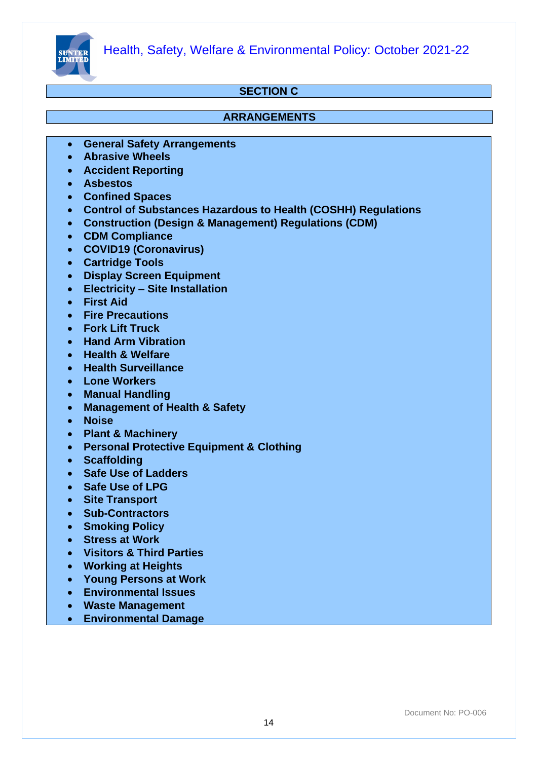

# **SECTION C**

#### **ARRANGEMENTS**

- **General Safety Arrangements**
- **Abrasive Wheels**
- **Accident Reporting**
- **Asbestos**
- **Confined Spaces**
- **Control of Substances Hazardous to Health (COSHH) Regulations**
- **Construction (Design & Management) Regulations (CDM)**
- **CDM Compliance**
- **COVID19 (Coronavirus)**
- **Cartridge Tools**
- **Display Screen Equipment**
- **Electricity – Site Installation**
- **First Aid**
- **Fire Precautions**
- **Fork Lift Truck**
- **Hand Arm Vibration**
- **Health & Welfare**
- **Health Surveillance**
- **Lone Workers**
- **Manual Handling**
- **Management of Health & Safety**
- **Noise**
- **Plant & Machinery**
- **Personal Protective Equipment & Clothing**
- **Scaffolding**
- **Safe Use of Ladders**
- **Safe Use of LPG**
- **Site Transport**
- **Sub-Contractors**
- **Smoking Policy**
- **Stress at Work**
- **Visitors & Third Parties**
- **Working at Heights**
- **Young Persons at Work**
- **Environmental Issues**
- **Waste Management**
- **Environmental Damage**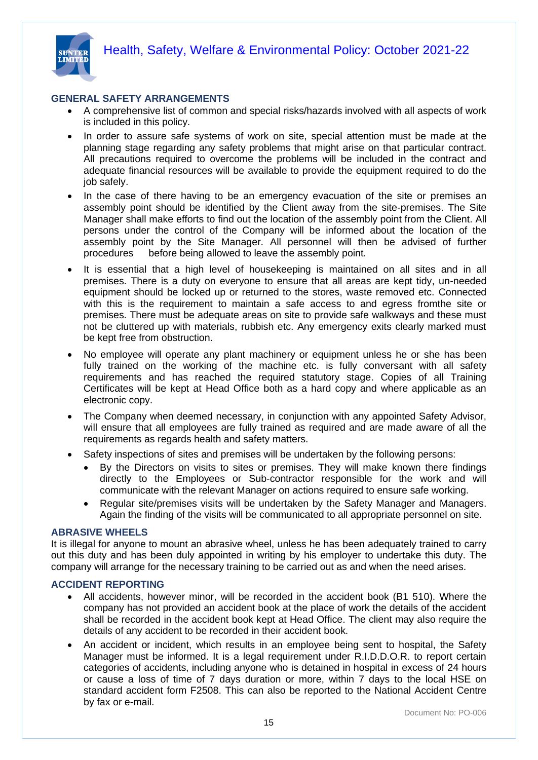

#### **GENERAL SAFETY ARRANGEMENTS**

- A comprehensive list of common and special risks/hazards involved with all aspects of work is included in this policy.
- In order to assure safe systems of work on site, special attention must be made at the planning stage regarding any safety problems that might arise on that particular contract. All precautions required to overcome the problems will be included in the contract and adequate financial resources will be available to provide the equipment required to do the job safely.
- In the case of there having to be an emergency evacuation of the site or premises an assembly point should be identified by the Client away from the site-premises. The Site Manager shall make efforts to find out the location of the assembly point from the Client. All persons under the control of the Company will be informed about the location of the assembly point by the Site Manager. All personnel will then be advised of further procedures before being allowed to leave the assembly point.
- It is essential that a high level of housekeeping is maintained on all sites and in all premises. There is a duty on everyone to ensure that all areas are kept tidy, un-needed equipment should be locked up or returned to the stores, waste removed etc. Connected with this is the requirement to maintain a safe access to and egress fromthe site or premises. There must be adequate areas on site to provide safe walkways and these must not be cluttered up with materials, rubbish etc. Any emergency exits clearly marked must be kept free from obstruction.
- No employee will operate any plant machinery or equipment unless he or she has been fully trained on the working of the machine etc. is fully conversant with all safety requirements and has reached the required statutory stage. Copies of all Training Certificates will be kept at Head Office both as a hard copy and where applicable as an electronic copy.
- The Company when deemed necessary, in conjunction with any appointed Safety Advisor, will ensure that all employees are fully trained as required and are made aware of all the requirements as regards health and safety matters.
- Safety inspections of sites and premises will be undertaken by the following persons:
	- By the Directors on visits to sites or premises. They will make known there findings directly to the Employees or Sub-contractor responsible for the work and will communicate with the relevant Manager on actions required to ensure safe working.
	- Regular site/premises visits will be undertaken by the Safety Manager and Managers. Again the finding of the visits will be communicated to all appropriate personnel on site.

#### **ABRASIVE WHEELS**

It is illegal for anyone to mount an abrasive wheel, unless he has been adequately trained to carry out this duty and has been duly appointed in writing by his employer to undertake this duty. The company will arrange for the necessary training to be carried out as and when the need arises.

#### **ACCIDENT REPORTING**

- All accidents, however minor, will be recorded in the accident book (B1 510). Where the company has not provided an accident book at the place of work the details of the accident shall be recorded in the accident book kept at Head Office. The client may also require the details of any accident to be recorded in their accident book.
- An accident or incident, which results in an employee being sent to hospital, the Safety Manager must be informed. It is a legal requirement under R.I.D.D.O.R. to report certain categories of accidents, including anyone who is detained in hospital in excess of 24 hours or cause a loss of time of 7 days duration or more, within 7 days to the local HSE on standard accident form F2508. This can also be reported to the National Accident Centre by fax or e-mail.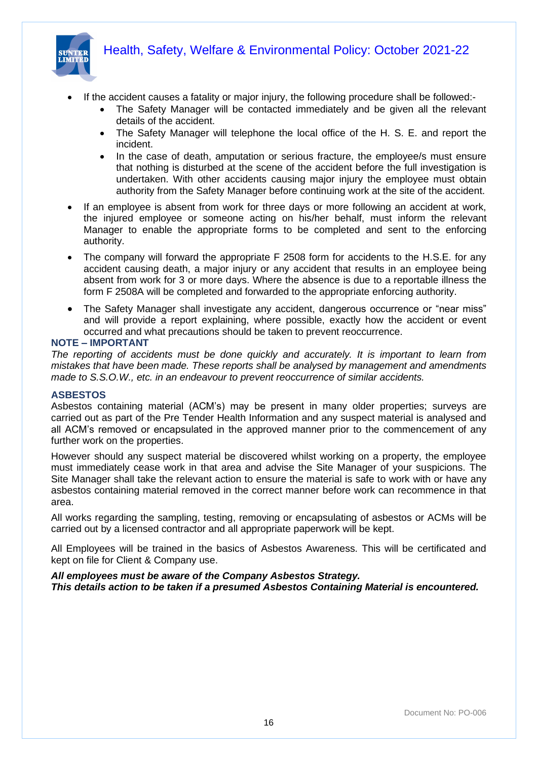

- If the accident causes a fatality or major injury, the following procedure shall be followed:-
	- The Safety Manager will be contacted immediately and be given all the relevant details of the accident.
	- The Safety Manager will telephone the local office of the H. S. E. and report the incident.
	- In the case of death, amputation or serious fracture, the employee/s must ensure that nothing is disturbed at the scene of the accident before the full investigation is undertaken. With other accidents causing major injury the employee must obtain authority from the Safety Manager before continuing work at the site of the accident.
- If an employee is absent from work for three days or more following an accident at work, the injured employee or someone acting on his/her behalf, must inform the relevant Manager to enable the appropriate forms to be completed and sent to the enforcing authority.
- The company will forward the appropriate F 2508 form for accidents to the H.S.E. for any accident causing death, a major injury or any accident that results in an employee being absent from work for 3 or more days. Where the absence is due to a reportable illness the form F 2508A will be completed and forwarded to the appropriate enforcing authority.
- The Safety Manager shall investigate any accident, dangerous occurrence or "near miss" and will provide a report explaining, where possible, exactly how the accident or event occurred and what precautions should be taken to prevent reoccurrence.

#### **NOTE – IMPORTANT**

*The reporting of accidents must be done quickly and accurately. It is important to learn from mistakes that have been made. These reports shall be analysed by management and amendments made to S.S.O.W., etc. in an endeavour to prevent reoccurrence of similar accidents.*

#### **ASBESTOS**

Asbestos containing material (ACM's) may be present in many older properties; surveys are carried out as part of the Pre Tender Health Information and any suspect material is analysed and all ACM's removed or encapsulated in the approved manner prior to the commencement of any further work on the properties.

However should any suspect material be discovered whilst working on a property, the employee must immediately cease work in that area and advise the Site Manager of your suspicions. The Site Manager shall take the relevant action to ensure the material is safe to work with or have any asbestos containing material removed in the correct manner before work can recommence in that area.

All works regarding the sampling, testing, removing or encapsulating of asbestos or ACMs will be carried out by a licensed contractor and all appropriate paperwork will be kept.

All Employees will be trained in the basics of Asbestos Awareness. This will be certificated and kept on file for Client & Company use.

#### *All employees must be aware of the Company Asbestos Strategy.*

*This details action to be taken if a presumed Asbestos Containing Material is encountered.*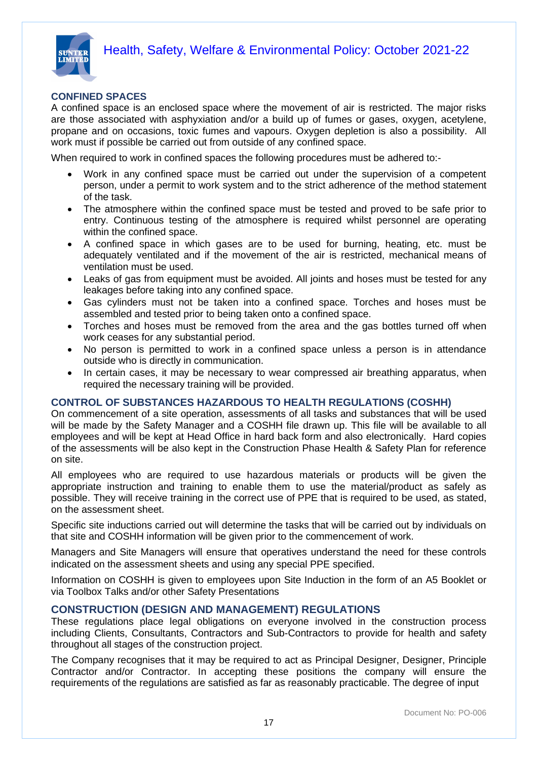



#### **CONFINED SPACES**

A confined space is an enclosed space where the movement of air is restricted. The major risks are those associated with asphyxiation and/or a build up of fumes or gases, oxygen, acetylene, propane and on occasions, toxic fumes and vapours. Oxygen depletion is also a possibility. All work must if possible be carried out from outside of any confined space.

When required to work in confined spaces the following procedures must be adhered to:-

- Work in any confined space must be carried out under the supervision of a competent person, under a permit to work system and to the strict adherence of the method statement of the task.
- The atmosphere within the confined space must be tested and proved to be safe prior to entry. Continuous testing of the atmosphere is required whilst personnel are operating within the confined space.
- A confined space in which gases are to be used for burning, heating, etc. must be adequately ventilated and if the movement of the air is restricted, mechanical means of ventilation must be used.
- Leaks of gas from equipment must be avoided. All joints and hoses must be tested for any leakages before taking into any confined space.
- Gas cylinders must not be taken into a confined space. Torches and hoses must be assembled and tested prior to being taken onto a confined space.
- Torches and hoses must be removed from the area and the gas bottles turned off when work ceases for any substantial period.
- No person is permitted to work in a confined space unless a person is in attendance outside who is directly in communication.
- In certain cases, it may be necessary to wear compressed air breathing apparatus, when required the necessary training will be provided.

#### **CONTROL OF SUBSTANCES HAZARDOUS TO HEALTH REGULATIONS (COSHH)**

On commencement of a site operation, assessments of all tasks and substances that will be used will be made by the Safety Manager and a COSHH file drawn up. This file will be available to all employees and will be kept at Head Office in hard back form and also electronically. Hard copies of the assessments will be also kept in the Construction Phase Health & Safety Plan for reference on site.

All employees who are required to use hazardous materials or products will be given the appropriate instruction and training to enable them to use the material/product as safely as possible. They will receive training in the correct use of PPE that is required to be used, as stated, on the assessment sheet.

Specific site inductions carried out will determine the tasks that will be carried out by individuals on that site and COSHH information will be given prior to the commencement of work.

Managers and Site Managers will ensure that operatives understand the need for these controls indicated on the assessment sheets and using any special PPE specified.

Information on COSHH is given to employees upon Site Induction in the form of an A5 Booklet or via Toolbox Talks and/or other Safety Presentations

#### **CONSTRUCTION (DESIGN AND MANAGEMENT) REGULATIONS**

These regulations place legal obligations on everyone involved in the construction process including Clients, Consultants, Contractors and Sub-Contractors to provide for health and safety throughout all stages of the construction project.

The Company recognises that it may be required to act as Principal Designer, Designer, Principle Contractor and/or Contractor. In accepting these positions the company will ensure the requirements of the regulations are satisfied as far as reasonably practicable. The degree of input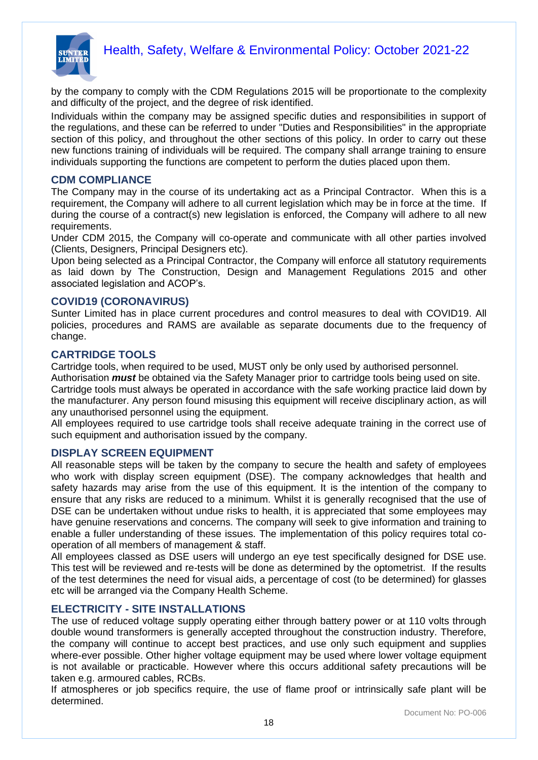

by the company to comply with the CDM Regulations 2015 will be proportionate to the complexity and difficulty of the project, and the degree of risk identified.

Individuals within the company may be assigned specific duties and responsibilities in support of the regulations, and these can be referred to under "Duties and Responsibilities" in the appropriate section of this policy, and throughout the other sections of this policy. In order to carry out these new functions training of individuals will be required. The company shall arrange training to ensure individuals supporting the functions are competent to perform the duties placed upon them.

#### **CDM COMPLIANCE**

The Company may in the course of its undertaking act as a Principal Contractor. When this is a requirement, the Company will adhere to all current legislation which may be in force at the time. If during the course of a contract(s) new legislation is enforced, the Company will adhere to all new requirements.

Under CDM 2015, the Company will co-operate and communicate with all other parties involved (Clients, Designers, Principal Designers etc).

Upon being selected as a Principal Contractor, the Company will enforce all statutory requirements as laid down by The Construction, Design and Management Regulations 2015 and other associated legislation and ACOP's.

#### **COVID19 (CORONAVIRUS)**

Sunter Limited has in place current procedures and control measures to deal with COVID19. All policies, procedures and RAMS are available as separate documents due to the frequency of change.

#### **CARTRIDGE TOOLS**

Cartridge tools, when required to be used, MUST only be only used by authorised personnel.

Authorisation *must* be obtained via the Safety Manager prior to cartridge tools being used on site. Cartridge tools must always be operated in accordance with the safe working practice laid down by the manufacturer. Any person found misusing this equipment will receive disciplinary action, as will any unauthorised personnel using the equipment.

All employees required to use cartridge tools shall receive adequate training in the correct use of such equipment and authorisation issued by the company.

#### **DISPLAY SCREEN EQUIPMENT**

All reasonable steps will be taken by the company to secure the health and safety of employees who work with display screen equipment (DSE). The company acknowledges that health and safety hazards may arise from the use of this equipment. It is the intention of the company to ensure that any risks are reduced to a minimum. Whilst it is generally recognised that the use of DSE can be undertaken without undue risks to health, it is appreciated that some employees may have genuine reservations and concerns. The company will seek to give information and training to enable a fuller understanding of these issues. The implementation of this policy requires total cooperation of all members of management & staff.

All employees classed as DSE users will undergo an eye test specifically designed for DSE use. This test will be reviewed and re-tests will be done as determined by the optometrist. If the results of the test determines the need for visual aids, a percentage of cost (to be determined) for glasses etc will be arranged via the Company Health Scheme.

#### **ELECTRICITY - SITE INSTALLATIONS**

The use of reduced voltage supply operating either through battery power or at 110 volts through double wound transformers is generally accepted throughout the construction industry. Therefore, the company will continue to accept best practices, and use only such equipment and supplies where-ever possible. Other higher voltage equipment may be used where lower voltage equipment is not available or practicable. However where this occurs additional safety precautions will be taken e.g. armoured cables, RCBs.

If atmospheres or job specifics require, the use of flame proof or intrinsically safe plant will be determined.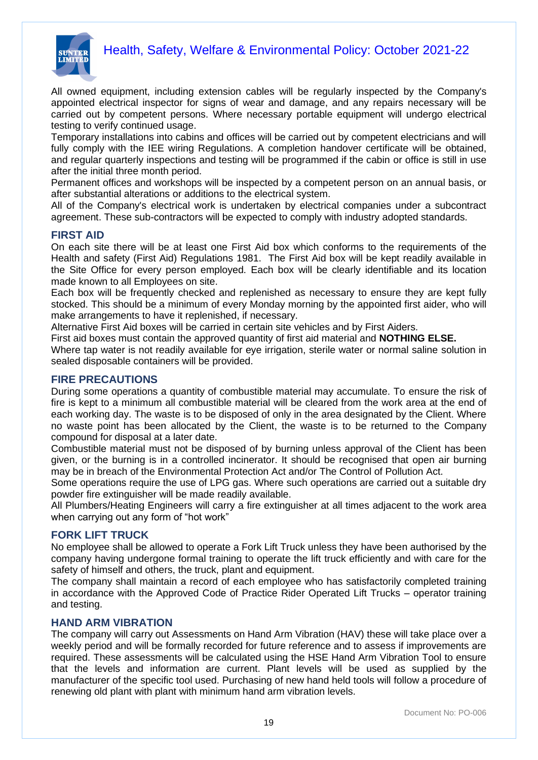

All owned equipment, including extension cables will be regularly inspected by the Company's appointed electrical inspector for signs of wear and damage, and any repairs necessary will be carried out by competent persons. Where necessary portable equipment will undergo electrical testing to verify continued usage.

Temporary installations into cabins and offices will be carried out by competent electricians and will fully comply with the IEE wiring Regulations. A completion handover certificate will be obtained, and regular quarterly inspections and testing will be programmed if the cabin or office is still in use after the initial three month period.

Permanent offices and workshops will be inspected by a competent person on an annual basis, or after substantial alterations or additions to the electrical system.

All of the Company's electrical work is undertaken by electrical companies under a subcontract agreement. These sub-contractors will be expected to comply with industry adopted standards.

#### **FIRST AID**

On each site there will be at least one First Aid box which conforms to the requirements of the Health and safety (First Aid) Regulations 1981. The First Aid box will be kept readily available in the Site Office for every person employed. Each box will be clearly identifiable and its location made known to all Employees on site.

Each box will be frequently checked and replenished as necessary to ensure they are kept fully stocked. This should be a minimum of every Monday morning by the appointed first aider, who will make arrangements to have it replenished, if necessary.

Alternative First Aid boxes will be carried in certain site vehicles and by First Aiders.

First aid boxes must contain the approved quantity of first aid material and **NOTHING ELSE.**

Where tap water is not readily available for eye irrigation, sterile water or normal saline solution in sealed disposable containers will be provided.

#### **FIRE PRECAUTIONS**

During some operations a quantity of combustible material may accumulate. To ensure the risk of fire is kept to a minimum all combustible material will be cleared from the work area at the end of each working day. The waste is to be disposed of only in the area designated by the Client. Where no waste point has been allocated by the Client, the waste is to be returned to the Company compound for disposal at a later date.

Combustible material must not be disposed of by burning unless approval of the Client has been given, or the burning is in a controlled incinerator. It should be recognised that open air burning may be in breach of the Environmental Protection Act and/or The Control of Pollution Act.

Some operations require the use of LPG gas. Where such operations are carried out a suitable dry powder fire extinguisher will be made readily available.

All Plumbers/Heating Engineers will carry a fire extinguisher at all times adjacent to the work area when carrying out any form of "hot work"

#### **FORK LIFT TRUCK**

No employee shall be allowed to operate a Fork Lift Truck unless they have been authorised by the company having undergone formal training to operate the lift truck efficiently and with care for the safety of himself and others, the truck, plant and equipment.

The company shall maintain a record of each employee who has satisfactorily completed training in accordance with the Approved Code of Practice Rider Operated Lift Trucks – operator training and testing.

#### **HAND ARM VIBRATION**

The company will carry out Assessments on Hand Arm Vibration (HAV) these will take place over a weekly period and will be formally recorded for future reference and to assess if improvements are required. These assessments will be calculated using the HSE Hand Arm Vibration Tool to ensure that the levels and information are current. Plant levels will be used as supplied by the manufacturer of the specific tool used. Purchasing of new hand held tools will follow a procedure of renewing old plant with plant with minimum hand arm vibration levels.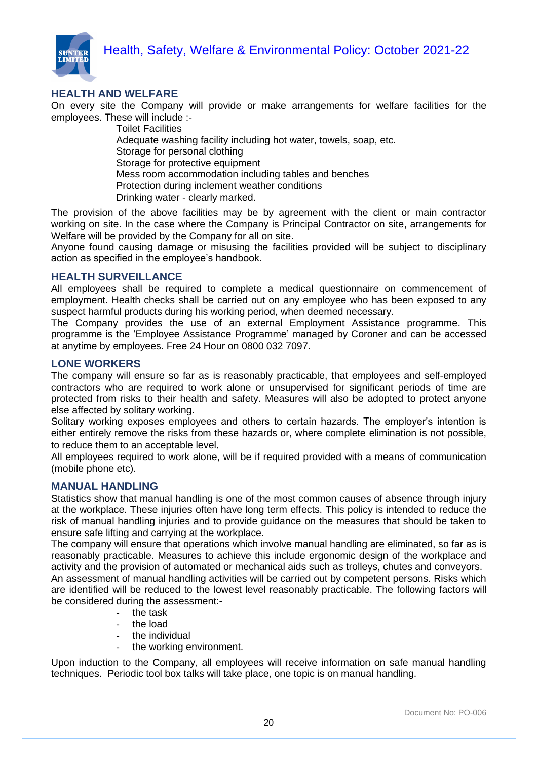

### **HEALTH AND WELFARE**

On every site the Company will provide or make arrangements for welfare facilities for the employees. These will include :-

> Toilet Facilities Adequate washing facility including hot water, towels, soap, etc. Storage for personal clothing Storage for protective equipment Mess room accommodation including tables and benches Protection during inclement weather conditions Drinking water - clearly marked.

The provision of the above facilities may be by agreement with the client or main contractor working on site. In the case where the Company is Principal Contractor on site, arrangements for Welfare will be provided by the Company for all on site.

Anyone found causing damage or misusing the facilities provided will be subject to disciplinary action as specified in the employee's handbook.

#### **HEALTH SURVEILLANCE**

All employees shall be required to complete a medical questionnaire on commencement of employment. Health checks shall be carried out on any employee who has been exposed to any suspect harmful products during his working period, when deemed necessary.

The Company provides the use of an external Employment Assistance programme. This programme is the 'Employee Assistance Programme' managed by Coroner and can be accessed at anytime by employees. Free 24 Hour on 0800 032 7097.

#### **LONE WORKERS**

The company will ensure so far as is reasonably practicable, that employees and self-employed contractors who are required to work alone or unsupervised for significant periods of time are protected from risks to their health and safety. Measures will also be adopted to protect anyone else affected by solitary working.

Solitary working exposes employees and others to certain hazards. The employer's intention is either entirely remove the risks from these hazards or, where complete elimination is not possible, to reduce them to an acceptable level.

All employees required to work alone, will be if required provided with a means of communication (mobile phone etc).

#### **MANUAL HANDLING**

Statistics show that manual handling is one of the most common causes of absence through injury at the workplace. These injuries often have long term effects. This policy is intended to reduce the risk of manual handling injuries and to provide guidance on the measures that should be taken to ensure safe lifting and carrying at the workplace.

The company will ensure that operations which involve manual handling are eliminated, so far as is reasonably practicable. Measures to achieve this include ergonomic design of the workplace and activity and the provision of automated or mechanical aids such as trolleys, chutes and conveyors. An assessment of manual handling activities will be carried out by competent persons. Risks which are identified will be reduced to the lowest level reasonably practicable. The following factors will be considered during the assessment:-

- the task
- the load
- the individual
- the working environment.

Upon induction to the Company, all employees will receive information on safe manual handling techniques. Periodic tool box talks will take place, one topic is on manual handling.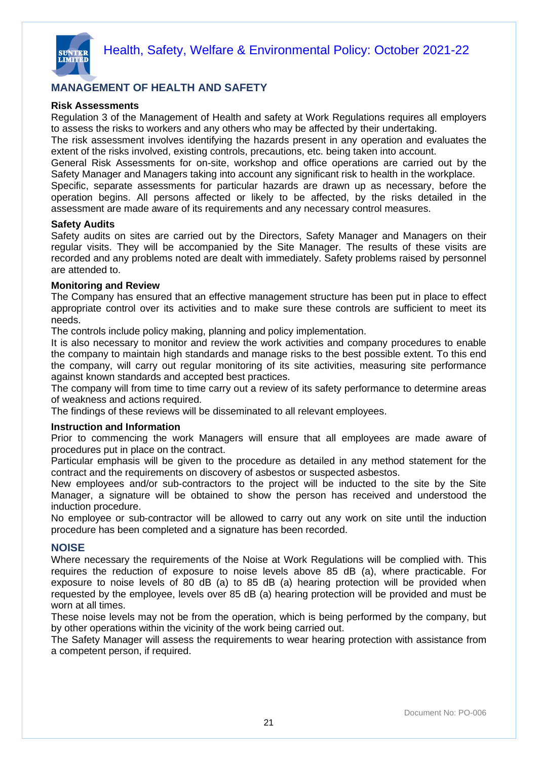

#### **MANAGEMENT OF HEALTH AND SAFETY**

#### **Risk Assessments**

Regulation 3 of the Management of Health and safety at Work Regulations requires all employers to assess the risks to workers and any others who may be affected by their undertaking.

The risk assessment involves identifying the hazards present in any operation and evaluates the extent of the risks involved, existing controls, precautions, etc. being taken into account.

General Risk Assessments for on-site, workshop and office operations are carried out by the Safety Manager and Managers taking into account any significant risk to health in the workplace.

Specific, separate assessments for particular hazards are drawn up as necessary, before the operation begins. All persons affected or likely to be affected, by the risks detailed in the assessment are made aware of its requirements and any necessary control measures.

#### **Safety Audits**

Safety audits on sites are carried out by the Directors, Safety Manager and Managers on their regular visits. They will be accompanied by the Site Manager. The results of these visits are recorded and any problems noted are dealt with immediately. Safety problems raised by personnel are attended to.

#### **Monitoring and Review**

The Company has ensured that an effective management structure has been put in place to effect appropriate control over its activities and to make sure these controls are sufficient to meet its needs.

The controls include policy making, planning and policy implementation.

It is also necessary to monitor and review the work activities and company procedures to enable the company to maintain high standards and manage risks to the best possible extent. To this end the company, will carry out regular monitoring of its site activities, measuring site performance against known standards and accepted best practices.

The company will from time to time carry out a review of its safety performance to determine areas of weakness and actions required.

The findings of these reviews will be disseminated to all relevant employees.

#### **Instruction and Information**

Prior to commencing the work Managers will ensure that all employees are made aware of procedures put in place on the contract.

Particular emphasis will be given to the procedure as detailed in any method statement for the contract and the requirements on discovery of asbestos or suspected asbestos.

New employees and/or sub-contractors to the project will be inducted to the site by the Site Manager, a signature will be obtained to show the person has received and understood the induction procedure.

No employee or sub-contractor will be allowed to carry out any work on site until the induction procedure has been completed and a signature has been recorded.

#### **NOISE**

Where necessary the requirements of the Noise at Work Regulations will be complied with. This requires the reduction of exposure to noise levels above 85 dB (a), where practicable. For exposure to noise levels of 80 dB (a) to 85 dB (a) hearing protection will be provided when requested by the employee, levels over 85 dB (a) hearing protection will be provided and must be worn at all times.

These noise levels may not be from the operation, which is being performed by the company, but by other operations within the vicinity of the work being carried out.

The Safety Manager will assess the requirements to wear hearing protection with assistance from a competent person, if required.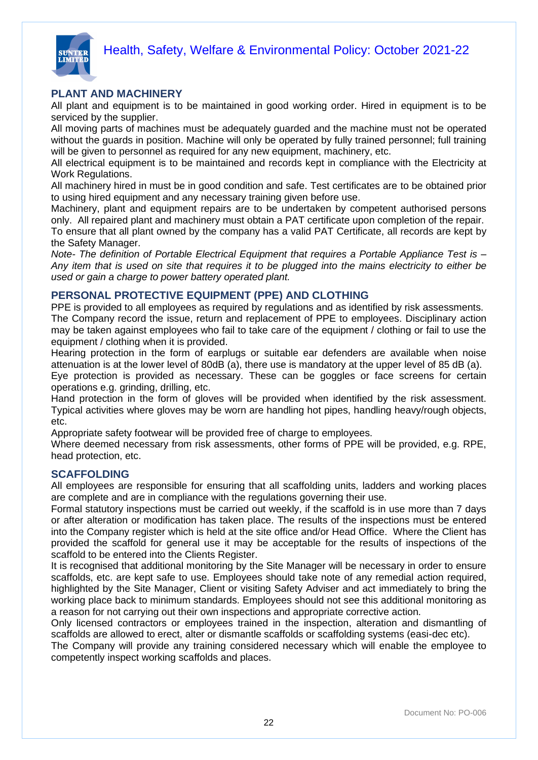

#### **PLANT AND MACHINERY**

All plant and equipment is to be maintained in good working order. Hired in equipment is to be serviced by the supplier.

All moving parts of machines must be adequately guarded and the machine must not be operated without the guards in position. Machine will only be operated by fully trained personnel; full training will be given to personnel as required for any new equipment, machinery, etc.

All electrical equipment is to be maintained and records kept in compliance with the Electricity at Work Regulations.

All machinery hired in must be in good condition and safe. Test certificates are to be obtained prior to using hired equipment and any necessary training given before use.

Machinery, plant and equipment repairs are to be undertaken by competent authorised persons only. All repaired plant and machinery must obtain a PAT certificate upon completion of the repair. To ensure that all plant owned by the company has a valid PAT Certificate, all records are kept by the Safety Manager.

*Note- The definition of Portable Electrical Equipment that requires a Portable Appliance Test is – Any item that is used on site that requires it to be plugged into the mains electricity to either be used or gain a charge to power battery operated plant.*

#### **PERSONAL PROTECTIVE EQUIPMENT (PPE) AND CLOTHING**

PPE is provided to all employees as required by regulations and as identified by risk assessments. The Company record the issue, return and replacement of PPE to employees. Disciplinary action may be taken against employees who fail to take care of the equipment / clothing or fail to use the equipment / clothing when it is provided.

Hearing protection in the form of earplugs or suitable ear defenders are available when noise attenuation is at the lower level of 80dB (a), there use is mandatory at the upper level of 85 dB (a). Eye protection is provided as necessary. These can be goggles or face screens for certain operations e.g. grinding, drilling, etc.

Hand protection in the form of gloves will be provided when identified by the risk assessment. Typical activities where gloves may be worn are handling hot pipes, handling heavy/rough objects, etc.

Appropriate safety footwear will be provided free of charge to employees.

Where deemed necessary from risk assessments, other forms of PPE will be provided, e.g. RPE, head protection, etc.

#### **SCAFFOLDING**

All employees are responsible for ensuring that all scaffolding units, ladders and working places are complete and are in compliance with the regulations governing their use.

Formal statutory inspections must be carried out weekly, if the scaffold is in use more than 7 days or after alteration or modification has taken place. The results of the inspections must be entered into the Company register which is held at the site office and/or Head Office. Where the Client has provided the scaffold for general use it may be acceptable for the results of inspections of the scaffold to be entered into the Clients Register.

It is recognised that additional monitoring by the Site Manager will be necessary in order to ensure scaffolds, etc. are kept safe to use. Employees should take note of any remedial action required, highlighted by the Site Manager, Client or visiting Safety Adviser and act immediately to bring the working place back to minimum standards. Employees should not see this additional monitoring as a reason for not carrying out their own inspections and appropriate corrective action.

Only licensed contractors or employees trained in the inspection, alteration and dismantling of scaffolds are allowed to erect, alter or dismantle scaffolds or scaffolding systems (easi-dec etc).

The Company will provide any training considered necessary which will enable the employee to competently inspect working scaffolds and places.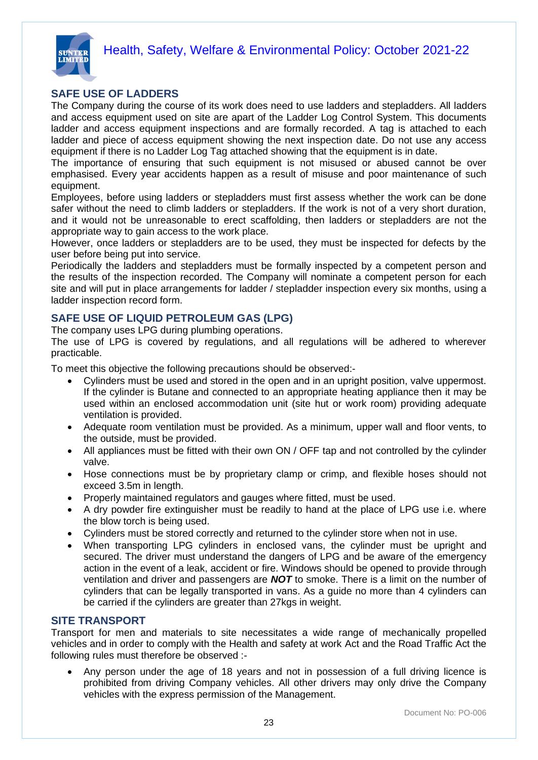

#### **SAFE USE OF LADDERS**

The Company during the course of its work does need to use ladders and stepladders. All ladders and access equipment used on site are apart of the Ladder Log Control System. This documents ladder and access equipment inspections and are formally recorded. A tag is attached to each ladder and piece of access equipment showing the next inspection date. Do not use any access equipment if there is no Ladder Log Tag attached showing that the equipment is in date.

The importance of ensuring that such equipment is not misused or abused cannot be over emphasised. Every year accidents happen as a result of misuse and poor maintenance of such equipment.

Employees, before using ladders or stepladders must first assess whether the work can be done safer without the need to climb ladders or stepladders. If the work is not of a very short duration, and it would not be unreasonable to erect scaffolding, then ladders or stepladders are not the appropriate way to gain access to the work place.

However, once ladders or stepladders are to be used, they must be inspected for defects by the user before being put into service.

Periodically the ladders and stepladders must be formally inspected by a competent person and the results of the inspection recorded. The Company will nominate a competent person for each site and will put in place arrangements for ladder / stepladder inspection every six months, using a ladder inspection record form.

#### **SAFE USE OF LIQUID PETROLEUM GAS (LPG)**

The company uses LPG during plumbing operations.

The use of LPG is covered by regulations, and all regulations will be adhered to wherever practicable.

To meet this objective the following precautions should be observed:-

- Cylinders must be used and stored in the open and in an upright position, valve uppermost. If the cylinder is Butane and connected to an appropriate heating appliance then it may be used within an enclosed accommodation unit (site hut or work room) providing adequate ventilation is provided.
- Adequate room ventilation must be provided. As a minimum, upper wall and floor vents, to the outside, must be provided.
- All appliances must be fitted with their own ON / OFF tap and not controlled by the cylinder valve.
- Hose connections must be by proprietary clamp or crimp, and flexible hoses should not exceed 3.5m in length.
- Properly maintained regulators and gauges where fitted, must be used.
- A dry powder fire extinguisher must be readily to hand at the place of LPG use i.e. where the blow torch is being used.
- Cylinders must be stored correctly and returned to the cylinder store when not in use.
- When transporting LPG cylinders in enclosed vans, the cylinder must be upright and secured. The driver must understand the dangers of LPG and be aware of the emergency action in the event of a leak, accident or fire. Windows should be opened to provide through ventilation and driver and passengers are *NOT* to smoke. There is a limit on the number of cylinders that can be legally transported in vans. As a guide no more than 4 cylinders can be carried if the cylinders are greater than 27kgs in weight.

#### **SITE TRANSPORT**

Transport for men and materials to site necessitates a wide range of mechanically propelled vehicles and in order to comply with the Health and safety at work Act and the Road Traffic Act the following rules must therefore be observed :-

• Any person under the age of 18 years and not in possession of a full driving licence is prohibited from driving Company vehicles. All other drivers may only drive the Company vehicles with the express permission of the Management.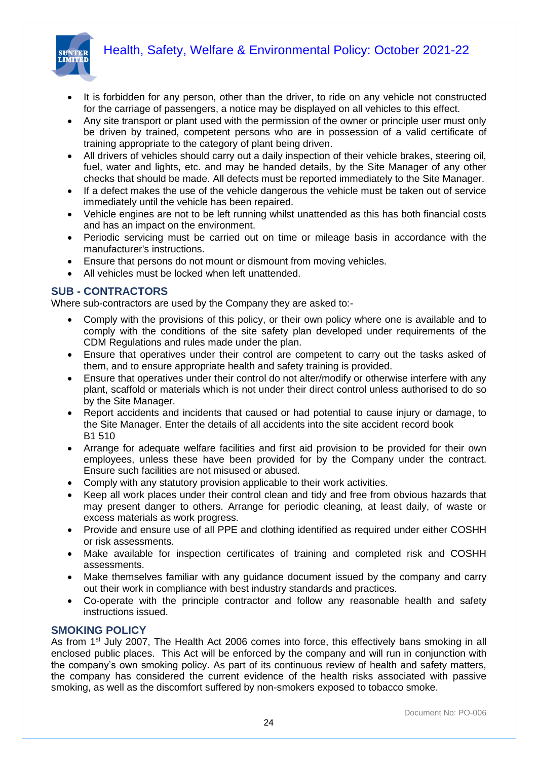

- It is forbidden for any person, other than the driver, to ride on any vehicle not constructed for the carriage of passengers, a notice may be displayed on all vehicles to this effect.
- Any site transport or plant used with the permission of the owner or principle user must only be driven by trained, competent persons who are in possession of a valid certificate of training appropriate to the category of plant being driven.
- All drivers of vehicles should carry out a daily inspection of their vehicle brakes, steering oil, fuel, water and lights, etc. and may be handed details, by the Site Manager of any other checks that should be made. All defects must be reported immediately to the Site Manager.
- If a defect makes the use of the vehicle dangerous the vehicle must be taken out of service immediately until the vehicle has been repaired.
- Vehicle engines are not to be left running whilst unattended as this has both financial costs and has an impact on the environment.
- Periodic servicing must be carried out on time or mileage basis in accordance with the manufacturer's instructions.
- Ensure that persons do not mount or dismount from moving vehicles.
- All vehicles must be locked when left unattended.

#### **SUB - CONTRACTORS**

Where sub-contractors are used by the Company they are asked to:-

- Comply with the provisions of this policy, or their own policy where one is available and to comply with the conditions of the site safety plan developed under requirements of the CDM Regulations and rules made under the plan.
- Ensure that operatives under their control are competent to carry out the tasks asked of them, and to ensure appropriate health and safety training is provided.
- Ensure that operatives under their control do not alter/modify or otherwise interfere with any plant, scaffold or materials which is not under their direct control unless authorised to do so by the Site Manager.
- Report accidents and incidents that caused or had potential to cause injury or damage, to the Site Manager. Enter the details of all accidents into the site accident record book B1 510
- Arrange for adequate welfare facilities and first aid provision to be provided for their own employees, unless these have been provided for by the Company under the contract. Ensure such facilities are not misused or abused.
- Comply with any statutory provision applicable to their work activities.
- Keep all work places under their control clean and tidy and free from obvious hazards that may present danger to others. Arrange for periodic cleaning, at least daily, of waste or excess materials as work progress.
- Provide and ensure use of all PPE and clothing identified as required under either COSHH or risk assessments.
- Make available for inspection certificates of training and completed risk and COSHH assessments.
- Make themselves familiar with any guidance document issued by the company and carry out their work in compliance with best industry standards and practices.
- Co-operate with the principle contractor and follow any reasonable health and safety instructions issued.

#### **SMOKING POLICY**

As from 1<sup>st</sup> July 2007, The Health Act 2006 comes into force, this effectively bans smoking in all enclosed public places. This Act will be enforced by the company and will run in conjunction with the company's own smoking policy. As part of its continuous review of health and safety matters, the company has considered the current evidence of the health risks associated with passive smoking, as well as the discomfort suffered by non-smokers exposed to tobacco smoke.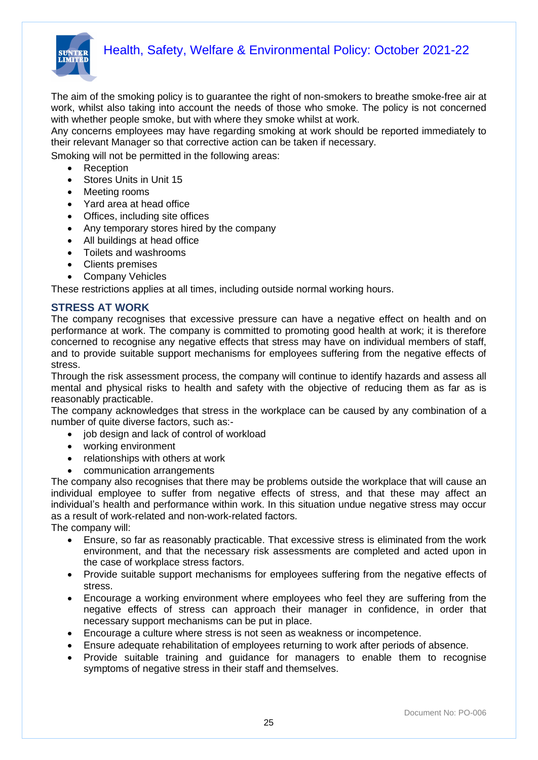

The aim of the smoking policy is to guarantee the right of non-smokers to breathe smoke-free air at work, whilst also taking into account the needs of those who smoke. The policy is not concerned with whether people smoke, but with where they smoke whilst at work.

Any concerns employees may have regarding smoking at work should be reported immediately to their relevant Manager so that corrective action can be taken if necessary.

Smoking will not be permitted in the following areas:

- Reception
- Stores Units in Unit 15
- Meeting rooms
- Yard area at head office
- Offices, including site offices
- Any temporary stores hired by the company
- All buildings at head office
- Toilets and washrooms
- Clients premises
- Company Vehicles

These restrictions applies at all times, including outside normal working hours.

#### **STRESS AT WORK**

The company recognises that excessive pressure can have a negative effect on health and on performance at work. The company is committed to promoting good health at work; it is therefore concerned to recognise any negative effects that stress may have on individual members of staff, and to provide suitable support mechanisms for employees suffering from the negative effects of stress.

Through the risk assessment process, the company will continue to identify hazards and assess all mental and physical risks to health and safety with the objective of reducing them as far as is reasonably practicable.

The company acknowledges that stress in the workplace can be caused by any combination of a number of quite diverse factors, such as:-

- job design and lack of control of workload
- working environment
- relationships with others at work
- communication arrangements

The company also recognises that there may be problems outside the workplace that will cause an individual employee to suffer from negative effects of stress, and that these may affect an individual's health and performance within work. In this situation undue negative stress may occur as a result of work-related and non-work-related factors.

The company will:

- Ensure, so far as reasonably practicable. That excessive stress is eliminated from the work environment, and that the necessary risk assessments are completed and acted upon in the case of workplace stress factors.
- Provide suitable support mechanisms for employees suffering from the negative effects of stress.
- Encourage a working environment where employees who feel they are suffering from the negative effects of stress can approach their manager in confidence, in order that necessary support mechanisms can be put in place.
- Encourage a culture where stress is not seen as weakness or incompetence.
- Ensure adequate rehabilitation of employees returning to work after periods of absence.
- Provide suitable training and guidance for managers to enable them to recognise symptoms of negative stress in their staff and themselves.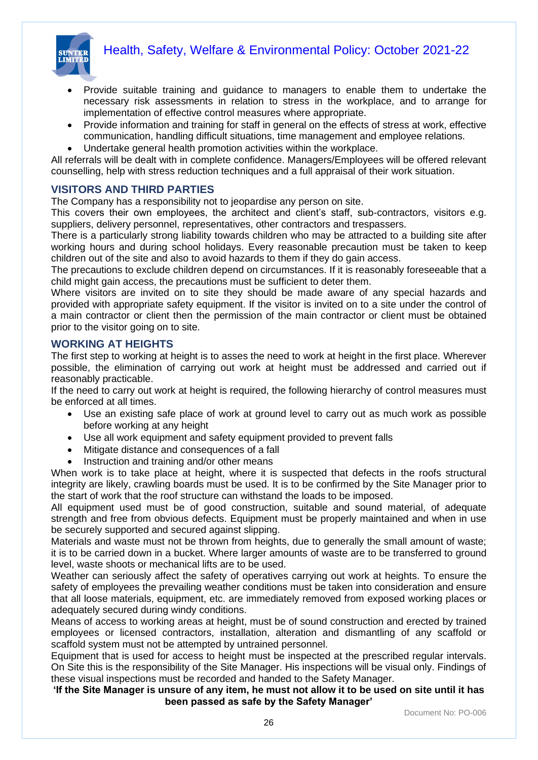

- Provide suitable training and guidance to managers to enable them to undertake the necessary risk assessments in relation to stress in the workplace, and to arrange for implementation of effective control measures where appropriate.
- Provide information and training for staff in general on the effects of stress at work, effective communication, handling difficult situations, time management and employee relations.
- Undertake general health promotion activities within the workplace.

All referrals will be dealt with in complete confidence. Managers/Employees will be offered relevant counselling, help with stress reduction techniques and a full appraisal of their work situation.

#### **VISITORS AND THIRD PARTIES**

The Company has a responsibility not to jeopardise any person on site.

This covers their own employees, the architect and client's staff, sub-contractors, visitors e.g. suppliers, delivery personnel, representatives, other contractors and trespassers.

There is a particularly strong liability towards children who may be attracted to a building site after working hours and during school holidays. Every reasonable precaution must be taken to keep children out of the site and also to avoid hazards to them if they do gain access.

The precautions to exclude children depend on circumstances. If it is reasonably foreseeable that a child might gain access, the precautions must be sufficient to deter them.

Where visitors are invited on to site they should be made aware of any special hazards and provided with appropriate safety equipment. If the visitor is invited on to a site under the control of a main contractor or client then the permission of the main contractor or client must be obtained prior to the visitor going on to site.

#### **WORKING AT HEIGHTS**

The first step to working at height is to asses the need to work at height in the first place. Wherever possible, the elimination of carrying out work at height must be addressed and carried out if reasonably practicable.

If the need to carry out work at height is required, the following hierarchy of control measures must be enforced at all times.

- Use an existing safe place of work at ground level to carry out as much work as possible before working at any height
- Use all work equipment and safety equipment provided to prevent falls
- Mitigate distance and consequences of a fall
- Instruction and training and/or other means

When work is to take place at height, where it is suspected that defects in the roofs structural integrity are likely, crawling boards must be used. It is to be confirmed by the Site Manager prior to the start of work that the roof structure can withstand the loads to be imposed.

All equipment used must be of good construction, suitable and sound material, of adequate strength and free from obvious defects. Equipment must be properly maintained and when in use be securely supported and secured against slipping.

Materials and waste must not be thrown from heights, due to generally the small amount of waste; it is to be carried down in a bucket. Where larger amounts of waste are to be transferred to ground level, waste shoots or mechanical lifts are to be used.

Weather can seriously affect the safety of operatives carrying out work at heights. To ensure the safety of employees the prevailing weather conditions must be taken into consideration and ensure that all loose materials, equipment, etc. are immediately removed from exposed working places or adequately secured during windy conditions.

Means of access to working areas at height, must be of sound construction and erected by trained employees or licensed contractors, installation, alteration and dismantling of any scaffold or scaffold system must not be attempted by untrained personnel.

Equipment that is used for access to height must be inspected at the prescribed regular intervals. On Site this is the responsibility of the Site Manager. His inspections will be visual only. Findings of these visual inspections must be recorded and handed to the Safety Manager.

#### **'If the Site Manager is unsure of any item, he must not allow it to be used on site until it has been passed as safe by the Safety Manager'**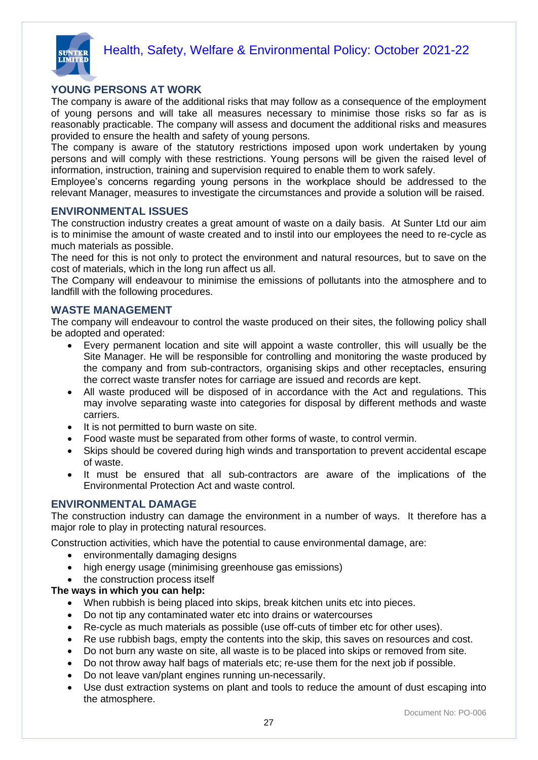

#### **YOUNG PERSONS AT WORK**

The company is aware of the additional risks that may follow as a consequence of the employment of young persons and will take all measures necessary to minimise those risks so far as is reasonably practicable. The company will assess and document the additional risks and measures provided to ensure the health and safety of young persons.

The company is aware of the statutory restrictions imposed upon work undertaken by young persons and will comply with these restrictions. Young persons will be given the raised level of information, instruction, training and supervision required to enable them to work safely.

Employee's concerns regarding young persons in the workplace should be addressed to the relevant Manager, measures to investigate the circumstances and provide a solution will be raised.

#### **ENVIRONMENTAL ISSUES**

The construction industry creates a great amount of waste on a daily basis. At Sunter Ltd our aim is to minimise the amount of waste created and to instil into our employees the need to re-cycle as much materials as possible.

The need for this is not only to protect the environment and natural resources, but to save on the cost of materials, which in the long run affect us all.

The Company will endeavour to minimise the emissions of pollutants into the atmosphere and to landfill with the following procedures.

#### **WASTE MANAGEMENT**

The company will endeavour to control the waste produced on their sites, the following policy shall be adopted and operated:

- Every permanent location and site will appoint a waste controller, this will usually be the Site Manager. He will be responsible for controlling and monitoring the waste produced by the company and from sub-contractors, organising skips and other receptacles, ensuring the correct waste transfer notes for carriage are issued and records are kept.
- All waste produced will be disposed of in accordance with the Act and regulations. This may involve separating waste into categories for disposal by different methods and waste carriers.
- It is not permitted to burn waste on site.
- Food waste must be separated from other forms of waste, to control vermin.
- Skips should be covered during high winds and transportation to prevent accidental escape of waste.
- It must be ensured that all sub-contractors are aware of the implications of the Environmental Protection Act and waste control.

#### **ENVIRONMENTAL DAMAGE**

The construction industry can damage the environment in a number of ways. It therefore has a major role to play in protecting natural resources.

Construction activities, which have the potential to cause environmental damage, are:

- environmentally damaging designs
- high energy usage (minimising greenhouse gas emissions)
- the construction process itself

#### **The ways in which you can help:**

- When rubbish is being placed into skips, break kitchen units etc into pieces.
- Do not tip any contaminated water etc into drains or watercourses
- Re-cycle as much materials as possible (use off-cuts of timber etc for other uses).
- Re use rubbish bags, empty the contents into the skip, this saves on resources and cost.
- Do not burn any waste on site, all waste is to be placed into skips or removed from site.
- Do not throw away half bags of materials etc; re-use them for the next job if possible.
- Do not leave van/plant engines running un-necessarily.
- Use dust extraction systems on plant and tools to reduce the amount of dust escaping into the atmosphere.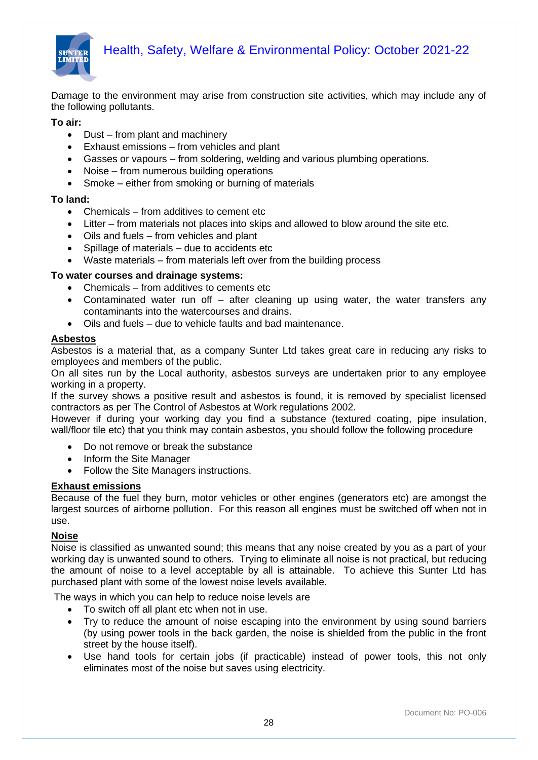

Damage to the environment may arise from construction site activities, which may include any of the following pollutants.

**To air:**

- Dust from plant and machinery
- Exhaust emissions from vehicles and plant
- Gasses or vapours from soldering, welding and various plumbing operations.
- Noise from numerous building operations
- Smoke either from smoking or burning of materials

#### **To land:**

- Chemicals from additives to cement etc
- Litter from materials not places into skips and allowed to blow around the site etc.
- Oils and fuels from vehicles and plant
- Spillage of materials due to accidents etc
- Waste materials from materials left over from the building process

#### **To water courses and drainage systems:**

- Chemicals from additives to cements etc
- Contaminated water run off after cleaning up using water, the water transfers any contaminants into the watercourses and drains.
- Oils and fuels due to vehicle faults and bad maintenance.

#### **Asbestos**

Asbestos is a material that, as a company Sunter Ltd takes great care in reducing any risks to employees and members of the public.

On all sites run by the Local authority, asbestos surveys are undertaken prior to any employee working in a property.

If the survey shows a positive result and asbestos is found, it is removed by specialist licensed contractors as per The Control of Asbestos at Work regulations 2002.

However if during your working day you find a substance (textured coating, pipe insulation, wall/floor tile etc) that you think may contain asbestos, you should follow the following procedure

- Do not remove or break the substance
- Inform the Site Manager
- Follow the Site Managers instructions.

#### **Exhaust emissions**

Because of the fuel they burn, motor vehicles or other engines (generators etc) are amongst the largest sources of airborne pollution. For this reason all engines must be switched off when not in use.

#### **Noise**

Noise is classified as unwanted sound; this means that any noise created by you as a part of your working day is unwanted sound to others. Trying to eliminate all noise is not practical, but reducing the amount of noise to a level acceptable by all is attainable. To achieve this Sunter Ltd has purchased plant with some of the lowest noise levels available.

The ways in which you can help to reduce noise levels are

- To switch off all plant etc when not in use.
- Try to reduce the amount of noise escaping into the environment by using sound barriers (by using power tools in the back garden, the noise is shielded from the public in the front street by the house itself).
- Use hand tools for certain jobs (if practicable) instead of power tools, this not only eliminates most of the noise but saves using electricity.